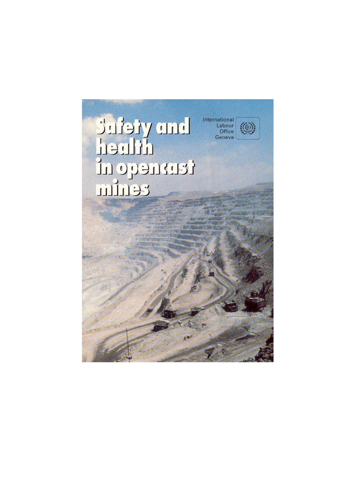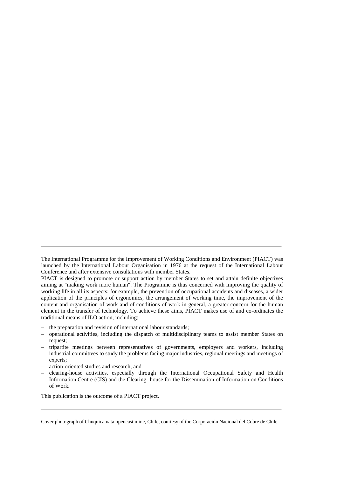- the preparation and revision of international labour standards;
- operational activities, including the dispatch of multidisciplinary teams to assist member States on request;
- tripartite meetings between representatives of governments, employers and workers, including industrial committees to study the problems facing major industries, regional meetings and meetings of experts;
- action-oriented studies and research; and
- clearing-house activities, especially through the International Occupational Safety and Health Information Centre (CIS) and the Clearing- house for the Dissemination of Information on Conditions of Work.

This publication is the outcome of a PIACT project.

Cover photograph of Chuquicamata opencast mine, Chile, courtesy of the Corporación Nacional del Cobre de Chile.

The International Programme for the Improvement of Working Conditions and Environment (PIACT) was launched by the International Labour Organisation in 1976 at the request of the International Labour Conference and after extensive consultations with member States.

PIACT is designed to promote or support action by member States to set and attain definite objectives aiming at "making work more human". The Programme is thus concerned with improving the quality of working life in all its aspects: for example, the prevention of occupational accidents and diseases, a wider application of the principles of ergonomics, the arrangement of working time, the improvement of the content and organisation of work and of conditions of work in general, a greater concern for the human element in the transfer of technology. To achieve these aims, PIACT makes use of and co-ordinates the traditional means of ILO action, including: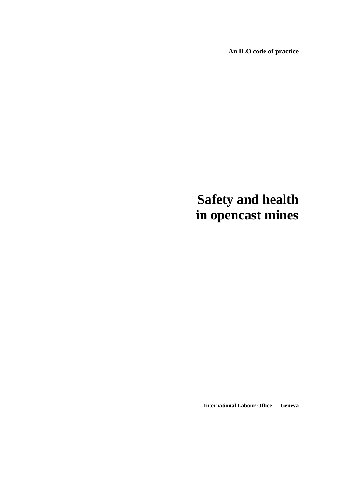**An ILO code of practice**

# **Safety and health in opencast mines**

**International Labour Office Geneva**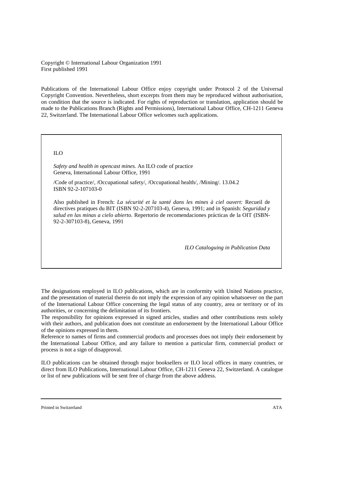Copyright © International Labour Organization 1991 First published 1991

Publications of the International Labour Office enjoy copyright under Protocol 2 of the Universal Copyright Convention. Nevertheless, short excerpts from them may be reproduced without authorisation, on condition that the source is indicated. For rights of reproduction or translation, application should be made to the Publications Branch (Rights and Permissions), International Labour Office, CH-1211 Geneva 22, Switzerland. The International Labour Office welcomes such applications.

#### ILO

*Safety and health in opencast mines.* An ILO code of practice Geneva, International Labour Office, 1991

/Code of practice/, /Occupational safety/, /Occupational health/, /Mining/. 13.04.2 ISBN 92-2-107103-0

Also published in French: *La sécurité et la santé dans les mines à ciel ouvert:* Recueil de directives pratiques du BIT (ISBN 92-2-207103-4), Geneva, 1991; and in Spanish: *Seguridad y salud en las minas a cielo abierto.* Repertorio de recomendaciones prácticas de la OIT (ISBN-92-2-307103-8), Geneva, 1991

*ILO Cataloguing in Publication Data*

The designations employed in ILO publications, which are in conformity with United Nations practice, and the presentation of material therein do not imply the expression of any opinion whatsoever on the part of the International Labour Office concerning the legal status of any country, area or territory or of its authorities, or concerning the delimitation of its frontiers.

The responsibility for opinions expressed in signed articles, studies and other contributions rests solely with their authors, and publication does not constitute an endorsement by the International Labour Office of the opinions expressed in them.

Reference to names of firms and commercial products and processes does not imply their endorsement by the International Labour Office, and any failure to mention a particular firm, commercial product or process is not a sign of disapproval.

ILO publications can be obtained through major booksellers or ILO local offices in many countries, or direct from ILO Publications, International Labour Office, CH-1211 Geneva 22, Switzerland. A catalogue or list of new publications will be sent free of charge from the above address.

Printed in Switzerland **ATA**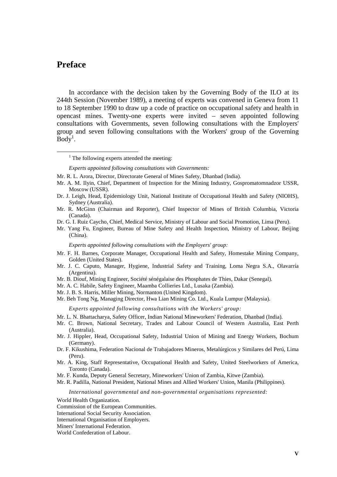## <span id="page-6-0"></span>**Preface**

In accordance with the decision taken by the Governing Body of the ILO at its 244th Session (November 1989), a meeting of experts was convened in Geneva from 11 to 18 September 1990 to draw up a code of practice on occupational safety and health in opencast mines. Twenty-one experts were invited – seven appointed following consultations with Governments, seven following consultations with the Employers' group and seven following consultations with the Workers' group of the Governing  $\text{Body}^1$ .

*Experts appointed following consultations with Governments:*

- Mr. A. M. Ilyin, Chief, Department of Inspection for the Mining Industry, Gospromatomnadzor USSR, Moscow (USSR).
- Dr. J. Leigh, Head, Epidemiology Unit, National Institute of Occupational Health and Safety (NIOHS), Sydney (Australia).
- Mr. R. McGinn (Chairman and Reporter), Chief Inspector of Mines of British Columbia, Victoria (Canada).
- Dr. G. I. Ruiz Caycho, Chief, Medical Service, Ministry of Labour and Social Promotion, Lima (Peru).
- Mr. Yang Fu, Engineer, Bureau of Mine Safety and Health Inspection, Ministry of Labour, Beijing (China).

*Experts appointed following consultations with the Employers' group:*

- Mr. F. H. Barnes, Corporate Manager, Occupational Health and Safety, Homestake Mining Company, Golden (United States).
- Mr. J. C. Caputo, Manager, Hygiene, Industrial Safety and Training, Loma Negra S.A., Olavarría (Argentina).
- Mr. B. Diouf, Mining Engineer, Société sénégalaise des Phosphates de Thies, Dakar (Senegal).
- Mr. A. C. Habile, Safety Engineer, Maamba Collieries Ltd., Lusaka (Zambia).
- Mr. J. B. S. Harris, Miller Mining, Normanton (United Kingdom).
- Mr. Beh Tong Ng, Managing Director, Hwa Lian Mining Co. Ltd., Kuala Lumpur (Malaysia).

*Experts appointed following consultations with the Workers' group:*

- Mr. L. N. Bhattacharya, Safety Officer, Indian National Mineworkers' Federation, Dhanbad (India).
- Mr. C. Brown, National Secretary, Trades and Labour Council of Western Australia, East Perth (Australia).
- Mr. J. Hippler, Head, Occupational Safety, Industrial Union of Mining and Energy Workers, Bochum (Germany).
- Dr. F. Kikushima, Federation Nacional de Trabajadores Mineros, Metalúrgicos y Similares del Perú, Lima (Peru).
- Mr. A. King, Staff Representative, Occupational Health and Safety, United Steelworkers of America, Toronto (Canada).
- Mr. F. Kunda, Deputy General Secretary, Mineworkers' Union of Zambia, Kitwe (Zambia).
- Mr. R. Padilla, National President, National Mines and Allied Workers' Union, Manila (Philippines).

*International governmental and non-governmental organisations represented:*

World Health Organization.

Commission of the European Communities.

International Social Security Association.

International Organisation of Employers.

Miners' International Federation.

World Confederation of Labour.

 <sup>1</sup>  $1$  The following experts attended the meeting:

Mr. R. L. Arora, Director, Directorate General of Mines Safety, Dhanbad (India).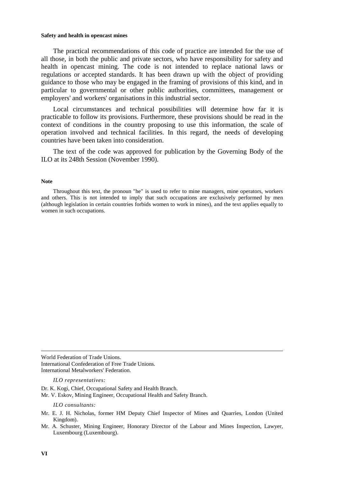The practical recommendations of this code of practice are intended for the use of all those, in both the public and private sectors, who have responsibility for safety and health in opencast mining. The code is not intended to replace national laws or regulations or accepted standards. It has been drawn up with the object of providing guidance to those who may be engaged in the framing of provisions of this kind, and in particular to governmental or other public authorities, committees, management or employers' and workers' organisations in this industrial sector.

Local circumstances and technical possibilities will determine how far it is practicable to follow its provisions. Furthermore, these provisions should be read in the context of conditions in the country proposing to use this information, the scale of operation involved and technical facilities. In this regard, the needs of developing countries have been taken into consideration.

The text of the code was approved for publication by the Governing Body of the ILO at its 248th Session (November 1990).

#### **Note**

Throughout this text, the pronoun "he" is used to refer to mine managers, mine operators, workers and others. This is not intended to imply that such occupations are exclusively performed by men (although legislation in certain countries forbids women to work in mines), and the text applies equally to women in such occupations.

World Federation of Trade Unions. International Confederation of Free Trade Unions. International Metalworkers' Federation.

*ILO representatives:*

Dr. K. Kogi, Chief, Occupational Safety and Health Branch.

Mr. V. Eskov, Mining Engineer, Occupational Health and Safety Branch.

*ILO consultants:*

- Mr. E. J. H. Nicholas, former HM Deputy Chief Inspector of Mines and Quarries, London (United Kingdom).
- Mr. A. Schuster, Mining Engineer, Honorary Director of the Labour and Mines Inspection, Lawyer, Luxembourg (Luxembourg).

1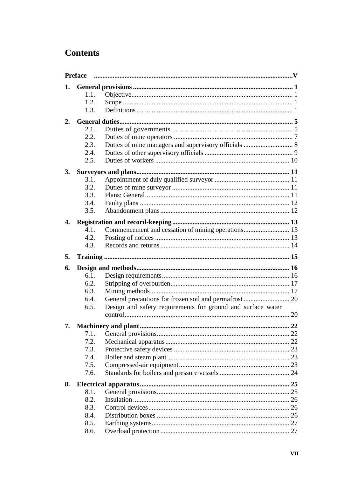## **Contents**

|                  | <b>Preface</b> |                                                             |    |
|------------------|----------------|-------------------------------------------------------------|----|
| 1.               |                |                                                             |    |
|                  | 1.1.           |                                                             |    |
|                  | 1.2.           |                                                             |    |
|                  | 1.3.           |                                                             |    |
| 2.               |                |                                                             |    |
|                  | 2.1.           |                                                             |    |
|                  | 2.2.           |                                                             |    |
|                  | 2.3.           | Duties of mine managers and supervisory officials  8        |    |
|                  | 2.4.           |                                                             |    |
|                  | 2.5.           |                                                             |    |
| 3.               |                |                                                             |    |
|                  | 3.1.           |                                                             |    |
|                  | 3.2.           |                                                             |    |
|                  | 3.3.           |                                                             |    |
|                  | 3.4.           |                                                             |    |
|                  | 3.5.           |                                                             |    |
| $\overline{4}$ . |                |                                                             |    |
|                  | 4.1.           | Commencement and cessation of mining operations 13          |    |
|                  | 4.2.           |                                                             |    |
|                  | 4.3.           |                                                             |    |
| 5.               |                |                                                             |    |
|                  |                |                                                             |    |
|                  |                |                                                             |    |
| 6.               |                |                                                             |    |
|                  | 6.1.<br>6.2.   |                                                             |    |
|                  | 6.3.           |                                                             |    |
|                  | 6.4.           |                                                             |    |
|                  | 6.5.           | Design and safety requirements for ground and surface water |    |
|                  |                |                                                             |    |
| 7.               |                |                                                             | 22 |
|                  | 7.1.           |                                                             |    |
|                  | 7.2.           |                                                             |    |
|                  | 7.3.           |                                                             |    |
|                  | 7.4.           |                                                             |    |
|                  | 7.5.           |                                                             |    |
|                  | 7.6.           |                                                             |    |
| 8.               |                |                                                             |    |
|                  | 8.1.           |                                                             |    |
|                  | 8.2.           |                                                             |    |
|                  | 8.3.           |                                                             |    |
|                  | 8.4.           |                                                             |    |
|                  | 8.5.<br>8.6.   |                                                             |    |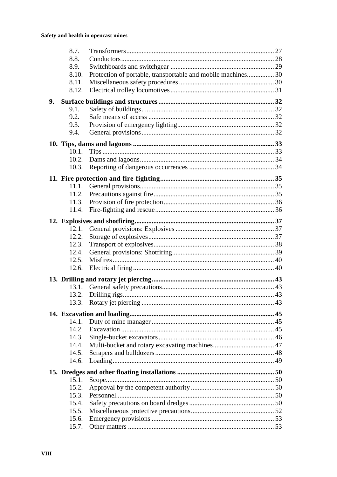|    | 8.7.  |                                                              |  |
|----|-------|--------------------------------------------------------------|--|
|    | 8.8.  |                                                              |  |
|    | 8.9.  |                                                              |  |
|    | 8.10. | Protection of portable, transportable and mobile machines 30 |  |
|    | 8.11. |                                                              |  |
|    | 8.12. |                                                              |  |
| 9. |       |                                                              |  |
|    | 9.1.  |                                                              |  |
|    | 9.2.  |                                                              |  |
|    | 9.3.  |                                                              |  |
|    | 9.4.  |                                                              |  |
|    |       |                                                              |  |
|    |       |                                                              |  |
|    | 10.2. |                                                              |  |
|    | 10.3. |                                                              |  |
|    |       |                                                              |  |
|    |       |                                                              |  |
|    | 11.1. |                                                              |  |
|    | 11.2. |                                                              |  |
|    | 11.3. |                                                              |  |
|    | 11.4. |                                                              |  |
|    |       |                                                              |  |
|    | 12.1. |                                                              |  |
|    | 12.2. |                                                              |  |
|    | 12.3. |                                                              |  |
|    | 12.4. |                                                              |  |
|    | 12.5. |                                                              |  |
|    | 12.6. |                                                              |  |
|    |       |                                                              |  |
|    |       |                                                              |  |
|    |       |                                                              |  |
|    |       |                                                              |  |
|    |       |                                                              |  |
|    | 14.1. |                                                              |  |
|    | 14.2. |                                                              |  |
|    | 14.3. |                                                              |  |
|    | 14.4. |                                                              |  |
|    | 14.5. |                                                              |  |
|    | 14.6. |                                                              |  |
|    |       |                                                              |  |
|    | 15.1. |                                                              |  |
|    | 15.2. |                                                              |  |
|    | 15.3. |                                                              |  |
|    | 15.4. |                                                              |  |
|    | 15.5. |                                                              |  |
|    | 15.6. |                                                              |  |
|    | 15.7. |                                                              |  |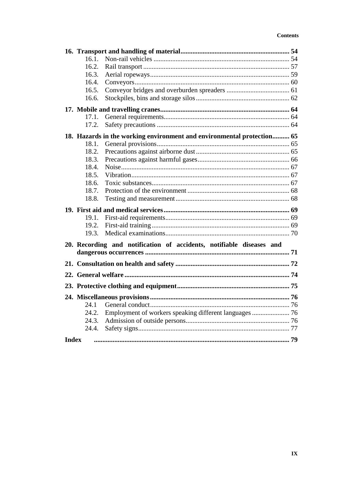| 16.1.        |                                                                        |  |
|--------------|------------------------------------------------------------------------|--|
| 16.2.        |                                                                        |  |
| 16.3.        |                                                                        |  |
| 16.4.        |                                                                        |  |
| 16.5.        |                                                                        |  |
| 16.6.        |                                                                        |  |
|              |                                                                        |  |
| 17.1.        |                                                                        |  |
| 17.2.        |                                                                        |  |
|              | 18. Hazards in the working environment and environmental protection 65 |  |
| 18.1.        |                                                                        |  |
| 18.2.        |                                                                        |  |
| 18.3.        |                                                                        |  |
| 18.4.        |                                                                        |  |
| 18.5.        |                                                                        |  |
| 18.6.        |                                                                        |  |
| 18.7.        |                                                                        |  |
| 18.8.        |                                                                        |  |
|              |                                                                        |  |
| 19.1.        |                                                                        |  |
| 19.2.        |                                                                        |  |
| 19.3.        |                                                                        |  |
|              | 20. Recording and notification of accidents, notifiable diseases and   |  |
|              |                                                                        |  |
|              |                                                                        |  |
|              |                                                                        |  |
|              |                                                                        |  |
|              |                                                                        |  |
| 24.1         |                                                                        |  |
| 24.2.        | Employment of workers speaking different languages  76                 |  |
| 24.3.        |                                                                        |  |
| 24.4.        |                                                                        |  |
| <b>Index</b> |                                                                        |  |
|              |                                                                        |  |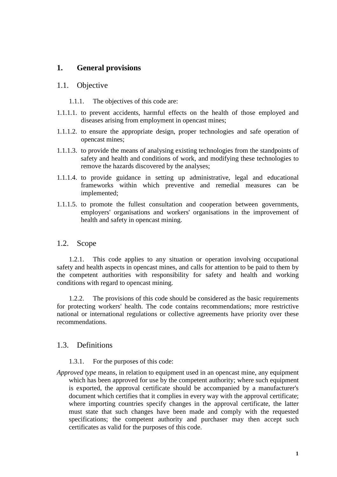## <span id="page-12-0"></span>**1. General provisions**

## 1.1. Objective

1.1.1. The objectives of this code are:

- 1.1.1.1. to prevent accidents, harmful effects on the health of those employed and diseases arising from employment in opencast mines;
- 1.1.1.2. to ensure the appropriate design, proper technologies and safe operation of opencast mines;
- 1.1.1.3. to provide the means of analysing existing technologies from the standpoints of safety and health and conditions of work, and modifying these technologies to remove the hazards discovered by the analyses;
- 1.1.1.4. to provide guidance in setting up administrative, legal and educational frameworks within which preventive and remedial measures can be implemented;
- 1.1.1.5. to promote the fullest consultation and cooperation between governments, employers' organisations and workers' organisations in the improvement of health and safety in opencast mining.

## 1.2. Scope

1.2.1. This code applies to any situation or operation involving occupational safety and health aspects in opencast mines, and calls for attention to be paid to them by the competent authorities with responsibility for safety and health and working conditions with regard to opencast mining.

1.2.2. The provisions of this code should be considered as the basic requirements for protecting workers' health. The code contains recommendations; more restrictive national or international regulations or collective agreements have priority over these recommendations.

## 1.3. Definitions

- 1.3.1. For the purposes of this code:
- *Approved type* means, in relation to equipment used in an opencast mine, any equipment which has been approved for use by the competent authority; where such equipment is exported, the approval certificate should be accompanied by a manufacturer's document which certifies that it complies in every way with the approval certificate; where importing countries specify changes in the approval certificate, the latter must state that such changes have been made and comply with the requested specifications; the competent authority and purchaser may then accept such certificates as valid for the purposes of this code.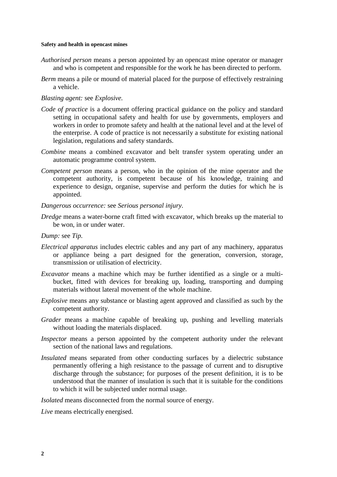- *Authorised person* means a person appointed by an opencast mine operator or manager and who is competent and responsible for the work he has been directed to perform.
- *Berm* means a pile or mound of material placed for the purpose of effectively restraining a vehicle.

#### *Blasting agent:* see *Explosive.*

- *Code of practice* is a document offering practical guidance on the policy and standard setting in occupational safety and health for use by governments, employers and workers in order to promote safety and health at the national level and at the level of the enterprise. A code of practice is not necessarily a substitute for existing national legislation, regulations and safety standards.
- *Combine* means a combined excavator and belt transfer system operating under an automatic programme control system.
- *Competent person* means a person, who in the opinion of the mine operator and the competent authority, is competent because of his knowledge, training and experience to design, organise, supervise and perform the duties for which he is appointed.
- *Dangerous occurrence:* see *Serious personal injury.*
- *Dredge* means a water-borne craft fitted with excavator, which breaks up the material to be won, in or under water.

#### *Dump:* see *Tip.*

- *Electrical apparatus* includes electric cables and any part of any machinery, apparatus or appliance being a part designed for the generation, conversion, storage, transmission or utilisation of electricity.
- *Excavator* means a machine which may be further identified as a single or a multibucket, fitted with devices for breaking up, loading, transporting and dumping materials without lateral movement of the whole machine.
- *Explosive* means any substance or blasting agent approved and classified as such by the competent authority.
- *Grader* means a machine capable of breaking up, pushing and levelling materials without loading the materials displaced.
- *Inspector* means a person appointed by the competent authority under the relevant section of the national laws and regulations.
- *Insulated* means separated from other conducting surfaces by a dielectric substance permanently offering a high resistance to the passage of current and to disruptive discharge through the substance; for purposes of the present definition, it is to be understood that the manner of insulation is such that it is suitable for the conditions to which it will be subjected under normal usage.

*Isolated* means disconnected from the normal source of energy.

*Live* means electrically energised.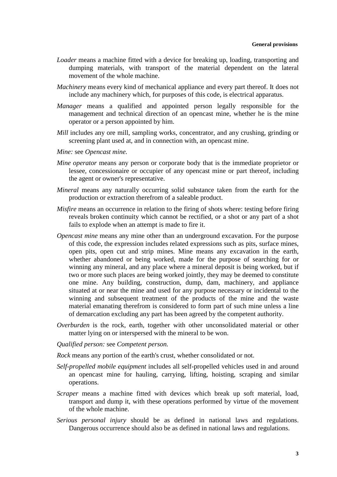- *Loader* means a machine fitted with a device for breaking up, loading, transporting and dumping materials, with transport of the material dependent on the lateral movement of the whole machine.
- *Machinery* means every kind of mechanical appliance and every part thereof. It does not include any machinery which, for purposes of this code, is electrical apparatus.
- *Manager* means a qualified and appointed person legally responsible for the management and technical direction of an opencast mine, whether he is the mine operator or a person appointed by him.
- *Mill* includes any ore mill, sampling works, concentrator, and any crushing, grinding or screening plant used at, and in connection with, an opencast mine.
- *Mine:* see *Opencast mine.*
- *Mine operator* means any person or corporate body that is the immediate proprietor or lessee, concessionaire or occupier of any opencast mine or part thereof, including the agent or owner's representative.
- *Mineral* means any naturally occurring solid substance taken from the earth for the production or extraction therefrom of a saleable product.
- *Misfire* means an occurrence in relation to the firing of shots where: testing before firing reveals broken continuity which cannot be rectified, or a shot or any part of a shot fails to explode when an attempt is made to fire it.
- *Opencast mine* means any mine other than an underground excavation. For the purpose of this code, the expression includes related expressions such as pits, surface mines, open pits, open cut and strip mines. Mine means any excavation in the earth, whether abandoned or being worked, made for the purpose of searching for or winning any mineral, and any place where a mineral deposit is being worked, but if two or more such places are being worked jointly, they may be deemed to constitute one mine. Any building, construction, dump, dam, machinery, and appliance situated at or near the mine and used for any purpose necessary or incidental to the winning and subsequent treatment of the products of the mine and the waste material emanating therefrom is considered to form part of such mine unless a line of demarcation excluding any part has been agreed by the competent authority.
- *Overburden* is the rock, earth, together with other unconsolidated material or other matter lying on or interspersed with the mineral to be won.
- *Qualified person:* see *Competent person.*
- *Rock* means any portion of the earth's crust, whether consolidated or not.
- *Self-propelled mobile equipment* includes all self-propelled vehicles used in and around an opencast mine for hauling, carrying, lifting, hoisting, scraping and similar operations.
- *Scraper* means a machine fitted with devices which break up soft material, load, transport and dump it, with these operations performed by virtue of the movement of the whole machine.
- *Serious personal injury* should be as defined in national laws and regulations. Dangerous occurrence should also be as defined in national laws and regulations.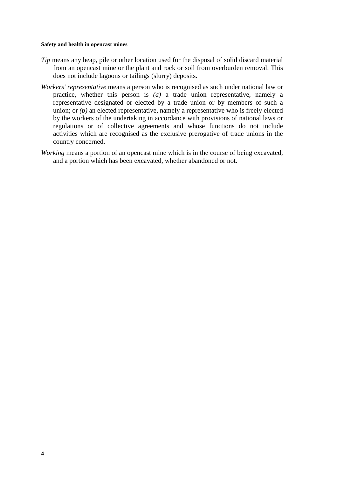- *Tip* means any heap, pile or other location used for the disposal of solid discard material from an opencast mine or the plant and rock or soil from overburden removal. This does not include lagoons or tailings (slurry) deposits.
- *Workers' representative* means a person who is recognised as such under national law or practice, whether this person is *(a)* a trade union representative, namely a representative designated or elected by a trade union or by members of such a union; or *(b)* an elected representative, namely a representative who is freely elected by the workers of the undertaking in accordance with provisions of national laws or regulations or of collective agreements and whose functions do not include activities which are recognised as the exclusive prerogative of trade unions in the country concerned.
- *Working* means a portion of an opencast mine which is in the course of being excavated, and a portion which has been excavated, whether abandoned or not.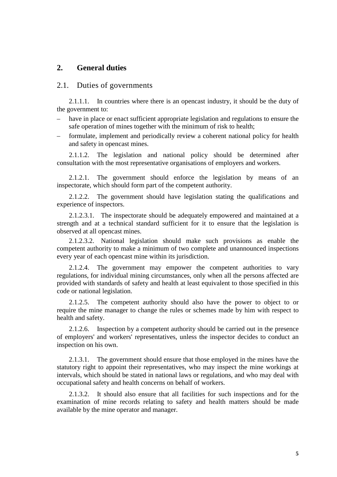## <span id="page-16-0"></span>**2. General duties**

## 2.1. Duties of governments

2.1.1.1. In countries where there is an opencast industry, it should be the duty of the government to:

- have in place or enact sufficient appropriate legislation and regulations to ensure the safe operation of mines together with the minimum of risk to health;
- formulate, implement and periodically review a coherent national policy for health and safety in opencast mines.

2.1.1.2. The legislation and national policy should be determined after consultation with the most representative organisations of employers and workers.

2.1.2.1. The government should enforce the legislation by means of an inspectorate, which should form part of the competent authority.

2.1.2.2. The government should have legislation stating the qualifications and experience of inspectors.

2.1.2.3.1. The inspectorate should be adequately empowered and maintained at a strength and at a technical standard sufficient for it to ensure that the legislation is observed at all opencast mines.

2.1.2.3.2. National legislation should make such provisions as enable the competent authority to make a minimum of two complete and unannounced inspections every year of each opencast mine within its jurisdiction.

2.1.2.4. The government may empower the competent authorities to vary regulations, for individual mining circumstances, only when all the persons affected are provided with standards of safety and health at least equivalent to those specified in this code or national legislation.

2.1.2.5. The competent authority should also have the power to object to or require the mine manager to change the rules or schemes made by him with respect to health and safety.

2.1.2.6. Inspection by a competent authority should be carried out in the presence of employers' and workers' representatives, unless the inspector decides to conduct an inspection on his own.

2.1.3.1. The government should ensure that those employed in the mines have the statutory right to appoint their representatives, who may inspect the mine workings at intervals, which should be stated in national laws or regulations, and who may deal with occupational safety and health concerns on behalf of workers.

2.1.3.2. It should also ensure that all facilities for such inspections and for the examination of mine records relating to safety and health matters should be made available by the mine operator and manager.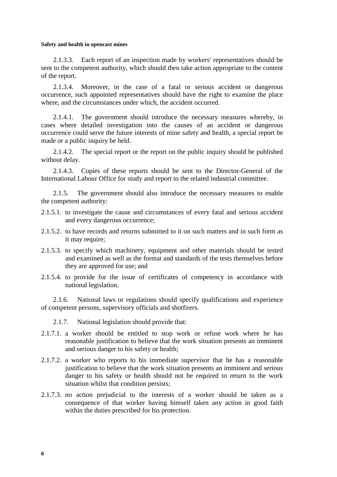2.1.3.3. Each report of an inspection made by workers' representatives should be sent to the competent authority, which should then take action appropriate to the content of the report.

2.1.3.4. Moreover, in the case of a fatal or serious accident or dangerous occurrence, such appointed representatives should have the right to examine the place where, and the circumstances under which, the accident occurred.

2.1.4.1. The government should introduce the necessary measures whereby, in cases where detailed investigation into the causes of an accident or dangerous occurrence could serve the future interests of mine safety and health, a special report be made or a public inquiry be held.

2.1.4.2. The special report or the report on the public inquiry should be published without delay.

2.1.4.3. Copies of these reports should be sent to the Director-General of the International Labour Office for study and report to the related industrial committee.

2.1.5. The government should also introduce the necessary measures to enable the competent authority:

- 2.1.5.1. to investigate the cause and circumstances of every fatal and serious accident and every dangerous occurrence;
- 2.1.5.2. to have records and returns submitted to it on such matters and in such form as it may require:
- 2.1.5.3. to specify which machinery, equipment and other materials should be tested and examined as well as the format and standards of the tests themselves before they are approved for use; and
- 2.1.5.4. to provide for the issue of certificates of competency in accordance with national legislation.

2.1.6. National laws or regulations should specify qualifications and experience of competent persons, supervisory officials and shotfirers.

2.1.7. National legislation should provide that:

- 2.1.7.1. a worker should be entitled to stop work or refuse work where he has reasonable justification to believe that the work situation presents an imminent and serious danger to his safety or health;
- 2.1.7.2. a worker who reports to his immediate supervisor that he has a reasonable justification to believe that the work situation presents an imminent and serious danger to his safety or health should not be required to return to the work situation whilst that condition persists;
- 2.1.7.3. no action prejudicial to the interests of a worker should be taken as a consequence of that worker having himself taken any action in good faith within the duties prescribed for his protection.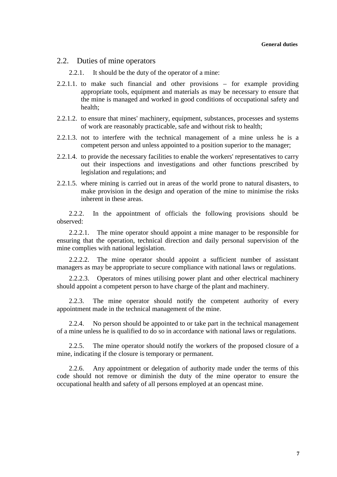## <span id="page-18-0"></span>2.2. Duties of mine operators

2.2.1. It should be the duty of the operator of a mine:

- 2.2.1.1. to make such financial and other provisions for example providing appropriate tools, equipment and materials as may be necessary to ensure that the mine is managed and worked in good conditions of occupational safety and health;
- 2.2.1.2. to ensure that mines' machinery, equipment, substances, processes and systems of work are reasonably practicable, safe and without risk to health;
- 2.2.1.3. not to interfere with the technical management of a mine unless he is a competent person and unless appointed to a position superior to the manager;
- 2.2.1.4. to provide the necessary facilities to enable the workers' representatives to carry out their inspections and investigations and other functions prescribed by legislation and regulations; and
- 2.2.1.5. where mining is carried out in areas of the world prone to natural disasters, to make provision in the design and operation of the mine to minimise the risks inherent in these areas.

2.2.2. In the appointment of officials the following provisions should be observed:

2.2.2.1. The mine operator should appoint a mine manager to be responsible for ensuring that the operation, technical direction and daily personal supervision of the mine complies with national legislation.

2.2.2.2. The mine operator should appoint a sufficient number of assistant managers as may be appropriate to secure compliance with national laws or regulations.

2.2.2.3. Operators of mines utilising power plant and other electrical machinery should appoint a competent person to have charge of the plant and machinery.

2.2.3. The mine operator should notify the competent authority of every appointment made in the technical management of the mine.

2.2.4. No person should be appointed to or take part in the technical management of a mine unless he is qualified to do so in accordance with national laws or regulations.

2.2.5. The mine operator should notify the workers of the proposed closure of a mine, indicating if the closure is temporary or permanent.

2.2.6. Any appointment or delegation of authority made under the terms of this code should not remove or diminish the duty of the mine operator to ensure the occupational health and safety of all persons employed at an opencast mine.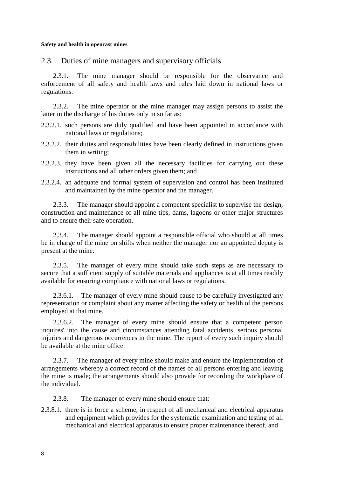<span id="page-19-0"></span>2.3. Duties of mine managers and supervisory officials

2.3.1. The mine manager should be responsible for the observance and enforcement of all safety and health laws and rules laid down in national laws or regulations.

2.3.2. The mine operator or the mine manager may assign persons to assist the latter in the discharge of his duties only in so far as:

- 2.3.2.1. such persons are duly qualified and have been appointed in accordance with national laws or regulations;
- 2.3.2.2. their duties and responsibilities have been clearly defined in instructions given them in writing;
- 2.3.2.3. they have been given all the necessary facilities for carrying out these instructions and all other orders given them; and
- 2.3.2.4. an adequate and formal system of supervision and control has been instituted and maintained by the mine operator and the manager.

2.3.3. The manager should appoint a competent specialist to supervise the design, construction and maintenance of all mine tips, dams, lagoons or other major structures and to ensure their safe operation.

2.3.4. The manager should appoint a responsible official who should at all times be in charge of the mine on shifts when neither the manager nor an appointed deputy is present at the mine.

2.3.5. The manager of every mine should take such steps as are necessary to secure that a sufficient supply of suitable materials and appliances is at all times readily available for ensuring compliance with national laws or regulations.

2.3.6.1. The manager of every mine should cause to be carefully investigated any representation or complaint about any matter affecting the safety or health of the persons employed at that mine.

2.3.6.2. The manager of every mine should ensure that a competent person inquires' into the cause and circumstances attending fatal accidents, serious personal injuries and dangerous occurrences in the mine. The report of every such inquiry should be available at the mine office.

2.3.7. The manager of every mine should make and ensure the implementation of arrangements whereby a correct record of the names of all persons entering and leaving the mine is made; the arrangements should also provide for recording the workplace of the individual.

2.3.8. The manager of every mine should ensure that:

2.3.8.1. there is in force a scheme, in respect of all mechanical and electrical apparatus and equipment which provides for the systematic examination and testing of all mechanical and electrical apparatus to ensure proper maintenance thereof, and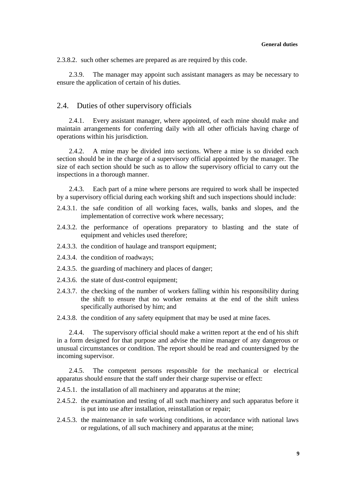<span id="page-20-0"></span>2.3.8.2. such other schemes are prepared as are required by this code.

2.3.9. The manager may appoint such assistant managers as may be necessary to ensure the application of certain of his duties.

#### 2.4. Duties of other supervisory officials

2.4.1. Every assistant manager, where appointed, of each mine should make and maintain arrangements for conferring daily with all other officials having charge of operations within his jurisdiction.

2.4.2. A mine may be divided into sections. Where a mine is so divided each section should be in the charge of a supervisory official appointed by the manager. The size of each section should be such as to allow the supervisory official to carry out the inspections in a thorough manner.

2.4.3. Each part of a mine where persons are required to work shall be inspected by a supervisory official during each working shift and such inspections should include:

- 2.4.3.1. the safe condition of all working faces, walls, banks and slopes, and the implementation of corrective work where necessary;
- 2.4.3.2. the performance of operations preparatory to blasting and the state of equipment and vehicles used therefore;
- 2.4.3.3. the condition of haulage and transport equipment;
- 2.4.3.4. the condition of roadways;
- 2.4.3.5. the guarding of machinery and places of danger;
- 2.4.3.6. the state of dust-control equipment;
- 2.4.3.7. the checking of the number of workers falling within his responsibility during the shift to ensure that no worker remains at the end of the shift unless specifically authorised by him; and

2.4.3.8. the condition of any safety equipment that may be used at mine faces.

2.4.4. The supervisory official should make a written report at the end of his shift in a form designed for that purpose and advise the mine manager of any dangerous or unusual circumstances or condition. The report should be read and countersigned by the incoming supervisor.

2.4.5. The competent persons responsible for the mechanical or electrical apparatus should ensure that the staff under their charge supervise or effect:

2.4.5.1. the installation of all machinery and apparatus at the mine;

- 2.4.5.2. the examination and testing of all such machinery and such apparatus before it is put into use after installation, reinstallation or repair;
- 2.4.5.3. the maintenance in safe working conditions, in accordance with national laws or regulations, of all such machinery and apparatus at the mine;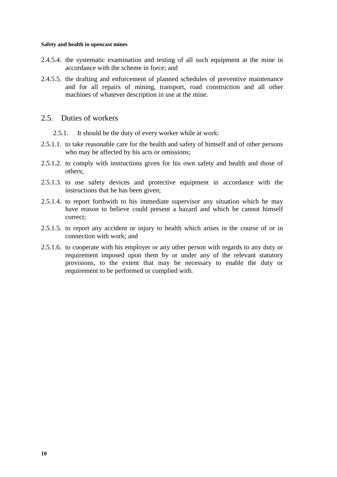- <span id="page-21-0"></span>2.4.5.4. the systematic examination and testing of all such equipment at the mine in accordance with the scheme in force; and
- 2.4.5.5. the drafting and enforcement of planned schedules of preventive maintenance and for all repairs of mining, transport, road construction and all other machines of whatever description in use at the mine.

## 2.5. Duties of workers

- 2.5.1. It should be the duty of every worker while at work:
- 2.5.1.1. to take reasonable care for the health and safety of himself and of other persons who may be affected by his acts or omissions;
- 2.5.1.2. to comply with instructions given for his own safety and health and those of others;
- 2.5.1.3. to use safety devices and protective equipment in accordance with the instructions that he has been given;
- 2.5.1.4. to report forthwith to his immediate supervisor any situation which he may have reason to believe could present a hazard and which he cannot himself correct;
- 2.5.1.5. to report any accident or injury to health which arises in the course of or in connection with work; and
- 2.5.1.6. to cooperate with his employer or any other person with regards to any duty or requirement imposed upon them by or under any of the relevant statutory provisions, to the extent that may be necessary to enable the duty or requirement to be performed or complied with.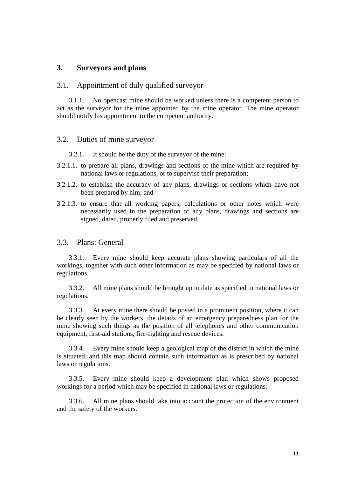## <span id="page-22-0"></span>**3. Surveyors and plans**

#### 3.1. Appointment of duly qualified surveyor

3.1.1. No opencast mine should be worked unless there is a competent person to act as the surveyor for the mine appointed by the mine operator. The mine operator should notify his appointment to the competent authority.

#### 3.2. Duties of mine surveyor

3.2.1. It should be the duty of the surveyor of the mine:

- 3.2.1.1. to prepare all plans, drawings and sections of the mine which are required by national laws or regulations, or to supervise their preparation;
- 3.2.1.2. to establish the accuracy of any plans, drawings or sections which have not been prepared by him; and
- 3.2.1.3. to ensure that all working papers, calculations or other notes which were necessarily used in the preparation of any plans, drawings and sections are signed, dated, properly filed and preserved.

#### 3.3. Plans: General

3.3.1. Every mine should keep accurate plans showing particulars of all the workings, together with such other information as may be specified by national laws or regulations.

3.3.2. All mine plans should be brought up to date as specified in national laws or regulations.

3.3.3. At every mine there should be posted in a prominent position, where it can be clearly seen by the workers, the details of an emergency preparedness plan for the mine showing such things as the position of all telephones and other communication equipment, first-aid stations, fire-fighting and rescue devices.

3.3.4. Every mine should keep a geological map of the district in which the mine is situated, and this map should contain such information as is prescribed by national laws or regulations.

3.3.5. Every mine should keep a development plan which shows proposed workings for a period which may be specified in national laws or regulations.

3.3.6. All mine plans should take into account the protection of the environment and the safety of the workers.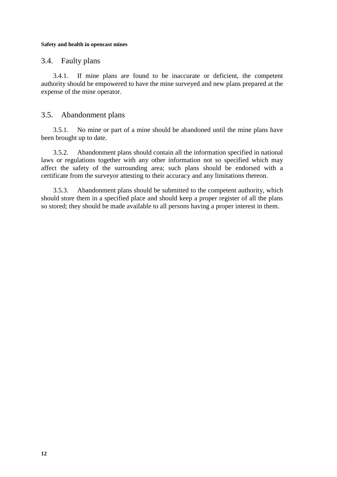## <span id="page-23-0"></span>3.4. Faulty plans

3.4.1. If mine plans are found to be inaccurate or deficient, the competent authority should be empowered to have the mine surveyed and new plans prepared at the expense of the mine operator.

## 3.5. Abandonment plans

3.5.1. No mine or part of a mine should be abandoned until the mine plans have been brought up to date.

3.5.2. Abandonment plans should contain all the information specified in national laws or regulations together with any other information not so specified which may affect the safety of the surrounding area; such plans should be endorsed with a certificate from the surveyor attesting to their accuracy and any limitations thereon.

3.5.3. Abandonment plans should be submitted to the competent authority, which should store them in a specified place and should keep a proper register of all the plans so stored; they should be made available to all persons having a proper interest in them.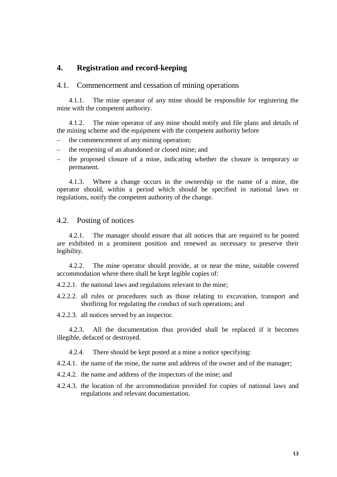## <span id="page-24-0"></span>**4. Registration and record-keeping**

## 4.1. Commencement and cessation of mining operations

4.1.1. The mine operator of any mine should be responsible for registering the mine with the competent authority.

4.1.2. The mine operator of any mine should notify and file plans and details of the mining scheme and the equipment with the competent authority before

- the commencement of any mining operation;
- the reopening of an abandoned or closed mine; and
- the proposed closure of a mine, indicating whether the closure is temporary or permanent.

4.1.3. Where a change occurs in the ownership or the name of a mine, the operator should, within a period which should be specified in national laws or regulations, notify the competent authority of the change.

## 4.2. Posting of notices

4.2.1. The manager should ensure that all notices that are required to be posted are exhibited in a prominent position and renewed as necessary to preserve their legibility.

4.2.2. The mine operator should provide, at or near the mine, suitable covered accommodation where there shall be kept legible copies of:

4.2.2.1. the national laws and regulations relevant to the mine;

4.2.2.2. all rules or procedures such as those relating to excavation, transport and shotfiring for regulating the conduct of such operations; and

4.2.2.3. all notices served by an inspector.

4.2.3. All the documentation thus provided shall be replaced if it becomes illegible, defaced or destroyed.

4.2.4. There should be kept posted at a mine a notice specifying:

4.2.4.1. the name of the mine, the name and address of the owner and of the manager;

- 4.2.4.2. the name and address of the inspectors of the mine; and
- 4.2.4.3. the location of the accommodation provided for copies of national laws and regulations and relevant documentation.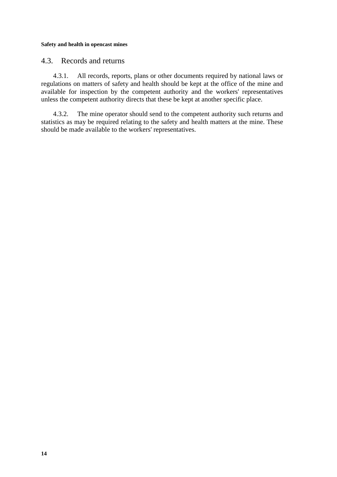## <span id="page-25-0"></span>4.3. Records and returns

4.3.1. All records, reports, plans or other documents required by national laws or regulations on matters of safety and health should be kept at the office of the mine and available for inspection by the competent authority and the workers' representatives unless the competent authority directs that these be kept at another specific place.

4.3.2. The mine operator should send to the competent authority such returns and statistics as may be required relating to the safety and health matters at the mine. These should be made available to the workers' representatives.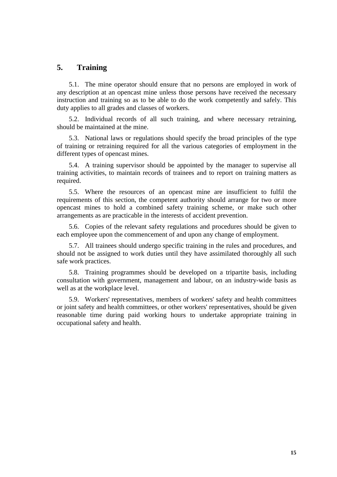## <span id="page-26-0"></span>**5. Training**

5.1. The mine operator should ensure that no persons are employed in work of any description at an opencast mine unless those persons have received the necessary instruction and training so as to be able to do the work competently and safely. This duty applies to all grades and classes of workers.

5.2. Individual records of all such training, and where necessary retraining, should be maintained at the mine.

5.3. National laws or regulations should specify the broad principles of the type of training or retraining required for all the various categories of employment in the different types of opencast mines.

5.4. A training supervisor should be appointed by the manager to supervise all training activities, to maintain records of trainees and to report on training matters as required.

5.5. Where the resources of an opencast mine are insufficient to fulfil the requirements of this section, the competent authority should arrange for two or more opencast mines to hold a combined safety training scheme, or make such other arrangements as are practicable in the interests of accident prevention.

5.6. Copies of the relevant safety regulations and procedures should be given to each employee upon the commencement of and upon any change of employment.

5.7. All trainees should undergo specific training in the rules and procedures, and should not be assigned to work duties until they have assimilated thoroughly all such safe work practices.

5.8. Training programmes should be developed on a tripartite basis, including consultation with government, management and labour, on an industry-wide basis as well as at the workplace level.

5.9. Workers' representatives, members of workers' safety and health committees or joint safety and health committees, or other workers' representatives, should be given reasonable time during paid working hours to undertake appropriate training in occupational safety and health.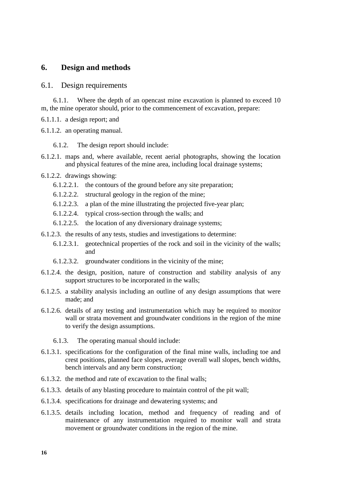## <span id="page-27-0"></span>**6. Design and methods**

#### 6.1. Design requirements

6.1.1. Where the depth of an opencast mine excavation is planned to exceed 10 m, the mine operator should, prior to the commencement of excavation, prepare:

- 6.1.1.1. a design report; and
- 6.1.1.2. an operating manual.
	- 6.1.2. The design report should include:
- 6.1.2.1. maps and, where available, recent aerial photographs, showing the location and physical features of the mine area, including local drainage systems;
- 6.1.2.2. drawings showing:
	- 6.1.2.2.1. the contours of the ground before any site preparation;
	- 6.1.2.2.2. structural geology in the region of the mine;
	- 6.1.2.2.3. a plan of the mine illustrating the projected five-year plan;
	- 6.1.2.2.4. typical cross-section through the walls; and
	- 6.1.2.2.5. the location of any diversionary drainage systems;
- 6.1.2.3. the results of any tests, studies and investigations to determine:
	- 6.1.2.3.1. geotechnical properties of the rock and soil in the vicinity of the walls; and
	- 6.1.2.3.2. groundwater conditions in the vicinity of the mine;
- 6.1.2.4. the design, position, nature of construction and stability analysis of any support structures to be incorporated in the walls;
- 6.1.2.5. a stability analysis including an outline of any design assumptions that were made; and
- 6.1.2.6. details of any testing and instrumentation which may be required to monitor wall or strata movement and groundwater conditions in the region of the mine to verify the design assumptions.
	- 6.1.3. The operating manual should include:
- 6.1.3.1. specifications for the configuration of the final mine walls, including toe and crest positions, planned face slopes, average overall wall slopes, bench widths, bench intervals and any berm construction;
- 6.1.3.2. the method and rate of excavation to the final walls;
- 6.1.3.3. details of any blasting procedure to maintain control of the pit wall;
- 6.1.3.4. specifications for drainage and dewatering systems; and
- 6.1.3.5. details including location, method and frequency of reading and of maintenance of any instrumentation required to monitor wall and strata movement or groundwater conditions in the region of the mine.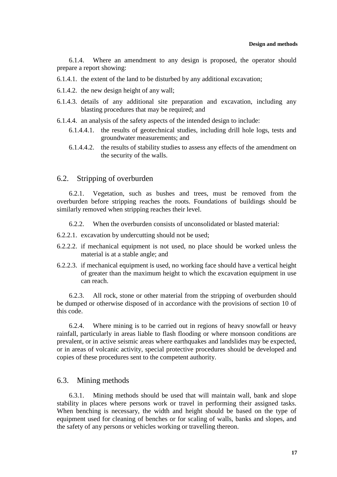<span id="page-28-0"></span>6.1.4. Where an amendment to any design is proposed, the operator should prepare a report showing:

- 6.1.4.1. the extent of the land to be disturbed by any additional excavation;
- 6.1.4.2. the new design height of any wall;
- 6.1.4.3. details of any additional site preparation and excavation, including any blasting procedures that may be required; and
- 6.1.4.4. an analysis of the safety aspects of the intended design to include:
	- 6.1.4.4.1. the results of geotechnical studies, including drill hole logs, tests and groundwater measurements; and
	- 6.1.4.4.2. the results of stability studies to assess any effects of the amendment on the security of the walls.

## 6.2. Stripping of overburden

6.2.1. Vegetation, such as bushes and trees, must be removed from the overburden before stripping reaches the roots. Foundations of buildings should be similarly removed when stripping reaches their level.

6.2.2. When the overburden consists of unconsolidated or blasted material:

- 6.2.2.1. excavation by undercutting should not be used;
- 6.2.2.2. if mechanical equipment is not used, no place should be worked unless the material is at a stable angle; and
- 6.2.2.3. if mechanical equipment is used, no working face should have a vertical height of greater than the maximum height to which the excavation equipment in use can reach.

6.2.3. All rock, stone or other material from the stripping of overburden should be dumped or otherwise disposed of in accordance with the provisions of section 10 of this code.

6.2.4. Where mining is to be carried out in regions of heavy snowfall or heavy rainfall, particularly in areas liable to flash flooding or where monsoon conditions are prevalent, or in active seismic areas where earthquakes and landslides may be expected, or in areas of volcanic activity, special protective procedures should be developed and copies of these procedures sent to the competent authority.

#### 6.3. Mining methods

6.3.1. Mining methods should be used that will maintain wall, bank and slope stability in places where persons work or travel in performing their assigned tasks. When benching is necessary, the width and height should be based on the type of equipment used for cleaning of benches or for scaling of walls, banks and slopes, and the safety of any persons or vehicles working or travelling thereon.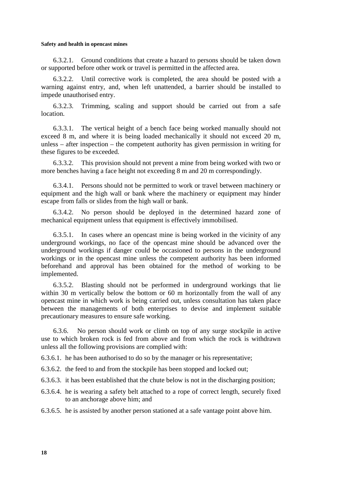6.3.2.1. Ground conditions that create a hazard to persons should be taken down or supported before other work or travel is permitted in the affected area.

6.3.2.2. Until corrective work is completed, the area should be posted with a warning against entry, and, when left unattended, a barrier should be installed to impede unauthorised entry.

6.3.2.3. Trimming, scaling and support should be carried out from a safe location.

6.3.3.1. The vertical height of a bench face being worked manually should not exceed 8 m, and where it is being loaded mechanically it should not exceed 20 m, unless – after inspection – the competent authority has given permission in writing for these figures to be exceeded.

6.3.3.2. This provision should not prevent a mine from being worked with two or more benches having a face height not exceeding 8 m and 20 m correspondingly.

6.3.4.1. Persons should not be permitted to work or travel between machinery or equipment and the high wall or bank where the machinery or equipment may hinder escape from falls or slides from the high wall or bank.

6.3.4.2. No person should be deployed in the determined hazard zone of mechanical equipment unless that equipment is effectively immobilised.

6.3.5.1. In cases where an opencast mine is being worked in the vicinity of any underground workings, no face of the opencast mine should be advanced over the underground workings if danger could be occasioned to persons in the underground workings or in the opencast mine unless the competent authority has been informed beforehand and approval has been obtained for the method of working to be implemented.

6.3.5.2. Blasting should not be performed in underground workings that lie within 30 m vertically below the bottom or 60 m horizontally from the wall of any opencast mine in which work is being carried out, unless consultation has taken place between the managements of both enterprises to devise and implement suitable precautionary measures to ensure safe working.

6.3.6. No person should work or climb on top of any surge stockpile in active use to which broken rock is fed from above and from which the rock is withdrawn unless all the following provisions are complied with:

6.3.6.1. he has been authorised to do so by the manager or his representative;

6.3.6.2. the feed to and from the stockpile has been stopped and locked out;

6.3.6.3. it has been established that the chute below is not in the discharging position;

- 6.3.6.4. he is wearing a safety belt attached to a rope of correct length, securely fixed to an anchorage above him; and
- 6.3.6.5. he is assisted by another person stationed at a safe vantage point above him.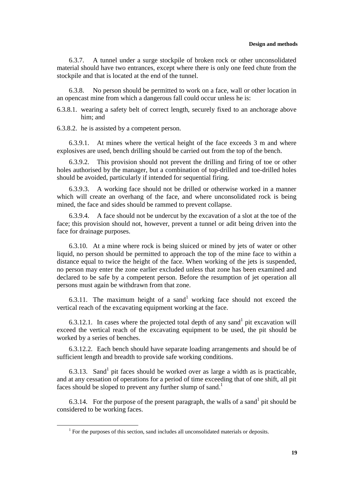6.3.7. A tunnel under a surge stockpile of broken rock or other unconsolidated material should have two entrances, except where there is only one feed chute from the stockpile and that is located at the end of the tunnel.

6.3.8. No person should be permitted to work on a face, wall or other location in an opencast mine from which a dangerous fall could occur unless he is:

6.3.8.1. wearing a safety belt of correct length, securely fixed to an anchorage above him; and

6.3.8.2. he is assisted by a competent person.

6.3.9.1. At mines where the vertical height of the face exceeds 3 m and where explosives are used, bench drilling should be carried out from the top of the bench.

6.3.9.2. This provision should not prevent the drilling and firing of toe or other holes authorised by the manager, but a combination of top-drilled and toe-drilled holes should be avoided, particularly if intended for sequential firing.

6.3.9.3. A working face should not be drilled or otherwise worked in a manner which will create an overhang of the face, and where unconsolidated rock is being mined, the face and sides should be rammed to prevent collapse.

6.3.9.4. A face should not be undercut by the excavation of a slot at the toe of the face; this provision should not, however, prevent a tunnel or adit being driven into the face for drainage purposes.

6.3.10. At a mine where rock is being sluiced or mined by jets of water or other liquid, no person should be permitted to approach the top of the mine face to within a distance equal to twice the height of the face. When working of the jets is suspended, no person may enter the zone earlier excluded unless that zone has been examined and declared to be safe by a competent person. Before the resumption of jet operation all persons must again be withdrawn from that zone.

6.3.11. The maximum height of a sand<sup>1</sup> working face should not exceed the vertical reach of the excavating equipment working at the face.

6.3.12.1. In cases where the projected total depth of any sand<sup>1</sup> pit excavation will exceed the vertical reach of the excavating equipment to be used, the pit should be worked by a series of benches.

6.3.12.2. Each bench should have separate loading arrangements and should be of sufficient length and breadth to provide safe working conditions.

6.3.13. Sand<sup>1</sup> pit faces should be worked over as large a width as is practicable, and at any cessation of operations for a period of time exceeding that of one shift, all pit faces should be sloped to prevent any further slump of sand.<sup>1</sup>

6.3.14. For the purpose of the present paragraph, the walls of a sand pit should be considered to be working faces.

 <sup>1</sup>  $<sup>1</sup>$  For the purposes of this section, sand includes all unconsolidated materials or deposits.</sup>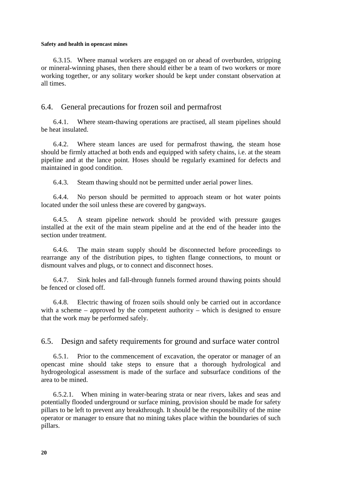<span id="page-31-0"></span>6.3.15. Where manual workers are engaged on or ahead of overburden, stripping or mineral-winning phases, then there should either be a team of two workers or more working together, or any solitary worker should be kept under constant observation at all times.

## 6.4. General precautions for frozen soil and permafrost

6.4.1. Where steam-thawing operations are practised, all steam pipelines should be heat insulated.

6.4.2. Where steam lances are used for permafrost thawing, the steam hose should be firmly attached at both ends and equipped with safety chains, i.e. at the steam pipeline and at the lance point. Hoses should be regularly examined for defects and maintained in good condition.

6.4.3. Steam thawing should not be permitted under aerial power lines.

6.4.4. No person should be permitted to approach steam or hot water points located under the soil unless these are covered by gangways.

6.4.5. A steam pipeline network should be provided with pressure gauges installed at the exit of the main steam pipeline and at the end of the header into the section under treatment.

6.4.6. The main steam supply should be disconnected before proceedings to rearrange any of the distribution pipes, to tighten flange connections, to mount or dismount valves and plugs, or to connect and disconnect hoses.

6.4.7. Sink holes and fall-through funnels formed around thawing points should be fenced or closed off.

6.4.8. Electric thawing of frozen soils should only be carried out in accordance with a scheme – approved by the competent authority – which is designed to ensure that the work may be performed safely.

6.5. Design and safety requirements for ground and surface water control

6.5.1. Prior to the commencement of excavation, the operator or manager of an opencast mine should take steps to ensure that a thorough hydrological and hydrogeological assessment is made of the surface and subsurface conditions of the area to be mined.

6.5.2.1. When mining in water-bearing strata or near rivers, lakes and seas and potentially flooded underground or surface mining, provision should be made for safety pillars to be left to prevent any breakthrough. It should be the responsibility of the mine operator or manager to ensure that no mining takes place within the boundaries of such pillars.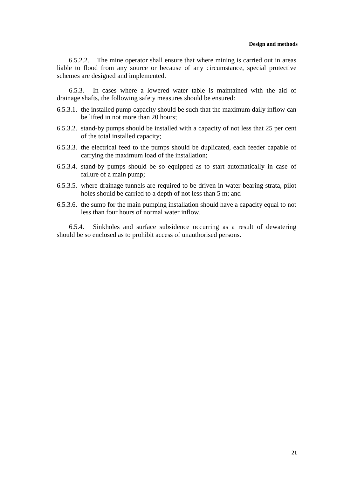6.5.2.2. The mine operator shall ensure that where mining is carried out in areas liable to flood from any source or because of any circumstance, special protective schemes are designed and implemented.

6.5.3. In cases where a lowered water table is maintained with the aid of drainage shafts, the following safety measures should be ensured:

- 6.5.3.1. the installed pump capacity should be such that the maximum daily inflow can be lifted in not more than 20 hours;
- 6.5.3.2. stand-by pumps should be installed with a capacity of not less that 25 per cent of the total installed capacity;
- 6.5.3.3. the electrical feed to the pumps should be duplicated, each feeder capable of carrying the maximum load of the installation;
- 6.5.3.4. stand-by pumps should be so equipped as to start automatically in case of failure of a main pump;
- 6.5.3.5. where drainage tunnels are required to be driven in water-bearing strata, pilot holes should be carried to a depth of not less than 5 m; and
- 6.5.3.6. the sump for the main pumping installation should have a capacity equal to not less than four hours of normal water inflow.

6.5.4. Sinkholes and surface subsidence occurring as a result of dewatering should be so enclosed as to prohibit access of unauthorised persons.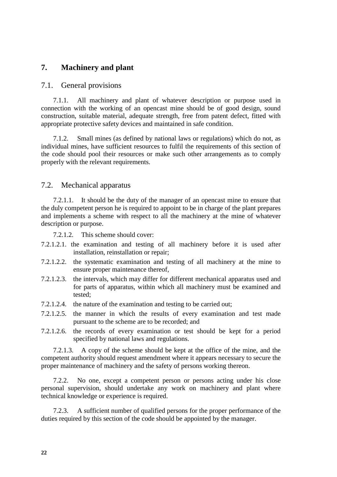## <span id="page-33-0"></span>**7. Machinery and plant**

#### 7.1. General provisions

7.1.1. All machinery and plant of whatever description or purpose used in connection with the working of an opencast mine should be of good design, sound construction, suitable material, adequate strength, free from patent defect, fitted with appropriate protective safety devices and maintained in safe condition.

7.1.2. Small mines (as defined by national laws or regulations) which do not, as individual mines, have sufficient resources to fulfil the requirements of this section of the code should pool their resources or make such other arrangements as to comply properly with the relevant requirements.

#### 7.2. Mechanical apparatus

7.2.1.1. It should be the duty of the manager of an opencast mine to ensure that the duly competent person he is required to appoint to be in charge of the plant prepares and implements a scheme with respect to all the machinery at the mine of whatever description or purpose.

7.2.1.2. This scheme should cover:

- 7.2.1.2.1. the examination and testing of all machinery before it is used after installation, reinstallation or repair;
- 7.2.1.2.2. the systematic examination and testing of all machinery at the mine to ensure proper maintenance thereof,
- 7.2.1.2.3. the intervals, which may differ for different mechanical apparatus used and for parts of apparatus, within which all machinery must be examined and tested;
- 7.2.1.2.4. the nature of the examination and testing to be carried out;
- 7.2.1.2.5. the manner in which the results of every examination and test made pursuant to the scheme are to be recorded; and
- 7.2.1.2.6. the records of every examination or test should be kept for a period specified by national laws and regulations.

7.2.1.3. A copy of the scheme should be kept at the office of the mine, and the competent authority should request amendment where it appears necessary to secure the proper maintenance of machinery and the safety of persons working thereon.

7.2.2. No one, except a competent person or persons acting under his close personal supervision, should undertake any work on machinery and plant where technical knowledge or experience is required.

7.2.3. A sufficient number of qualified persons for the proper performance of the duties required by this section of the code should be appointed by the manager.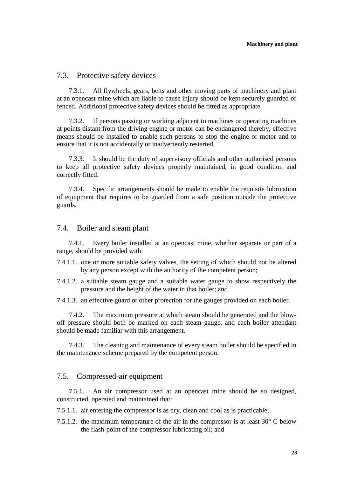#### <span id="page-34-0"></span>7.3. Protective safety devices

7.3.1. All flywheels, gears, belts and other moving parts of machinery and plant at an opencast mine which are liable to cause injury should be kept securely guarded or fenced. Additional protective safety devices should be fitted as appropriate.

7.3.2. If persons passing or working adjacent to machines or operating machines at points distant from the driving engine or motor can be endangered thereby, effective means should be installed to enable such persons to stop the engine or motor and to ensure that it is not accidentally or inadvertently restarted.

7.3.3. It should be the duty of supervisory officials and other authorised persons to keep all protective safety devices properly maintained, in good condition and correctly fitted.

7.3.4. Specific arrangements should be made to enable the requisite lubrication of equipment that requires to be guarded from a safe position outside the protective guards.

#### 7.4. Boiler and steam plant

7.4.1. Every boiler installed at an opencast mine, whether separate or part of a range, should be provided with:

- 7.4.1.1. one or more suitable safety valves, the setting of which should not be altered by any person except with the authority of the competent person;
- 7.4.1.2. a suitable steam gauge and a suitable water gauge to show respectively the pressure and the height of the water in that boiler; and
- 7.4.1.3. an effective guard or other protection for the gauges provided on each boiler.

7.4.2. The maximum pressure at which steam should be generated and the blowoff pressure should both be marked on each steam gauge, and each boiler attendant should be made familiar with this arrangement.

7.4.3. The cleaning and maintenance of every steam boiler should be specified in the maintenance scheme prepared by the competent person.

#### 7.5. Compressed-air equipment

7.5.1. An air compressor used at an opencast mine should be so designed, constructed, operated and maintained that:

7.5.1.1. air entering the compressor is as dry, clean and cool as is practicable;

7.5.1.2. the maximum temperature of the air in the compressor is at least 30° C below the flash-point of the compressor lubricating oil; and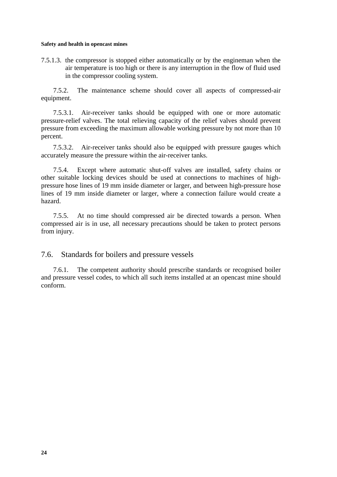<span id="page-35-0"></span>7.5.1.3. the compressor is stopped either automatically or by the engineman when the air temperature is too high or there is any interruption in the flow of fluid used in the compressor cooling system.

7.5.2. The maintenance scheme should cover all aspects of compressed-air equipment.

7.5.3.1. Air-receiver tanks should be equipped with one or more automatic pressure-relief valves. The total relieving capacity of the relief valves should prevent pressure from exceeding the maximum allowable working pressure by not more than 10 percent.

7.5.3.2. Air-receiver tanks should also be equipped with pressure gauges which accurately measure the pressure within the air-receiver tanks.

7.5.4. Except where automatic shut-off valves are installed, safety chains or other suitable locking devices should be used at connections to machines of highpressure hose lines of 19 mm inside diameter or larger, and between high-pressure hose lines of 19 mm inside diameter or larger, where a connection failure would create a hazard.

7.5.5. At no time should compressed air be directed towards a person. When compressed air is in use, all necessary precautions should be taken to protect persons from injury.

7.6. Standards for boilers and pressure vessels

7.6.1. The competent authority should prescribe standards or recognised boiler and pressure vessel codes, to which all such items installed at an opencast mine should conform.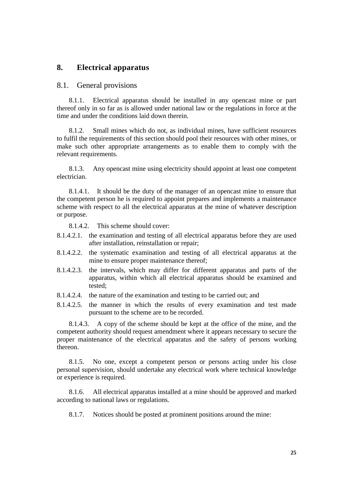# **8. Electrical apparatus**

# 8.1. General provisions

8.1.1. Electrical apparatus should be installed in any opencast mine or part thereof only in so far as is allowed under national law or the regulations in force at the time and under the conditions laid down therein.

8.1.2. Small mines which do not, as individual mines, have sufficient resources to fulfil the requirements of this section should pool their resources with other mines, or make such other appropriate arrangements as to enable them to comply with the relevant requirements.

8.1.3. Any opencast mine using electricity should appoint at least one competent electrician.

8.1.4.1. It should be the duty of the manager of an opencast mine to ensure that the competent person he is required to appoint prepares and implements a maintenance scheme with respect to all the electrical apparatus at the mine of whatever description or purpose.

8.1.4.2. This scheme should cover:

- 8.1.4.2.1. the examination and testing of all electrical apparatus before they are used after installation, reinstallation or repair;
- 8.1.4.2.2. the systematic examination and testing of all electrical apparatus at the mine to ensure proper maintenance thereof;
- 8.1.4.2.3. the intervals, which may differ for different apparatus and parts of the apparatus, within which all electrical apparatus should be examined and tested;
- 8.1.4.2.4. the nature of the examination and testing to be carried out; and
- 8.1.4.2.5. the manner in which the results of every examination and test made pursuant to the scheme are to be recorded.

8.1.4.3. A copy of the scheme should be kept at the office of the mine, and the competent authority should request amendment where it appears necessary to secure the proper maintenance of the electrical apparatus and the safety of persons working thereon.

8.1.5. No one, except a competent person or persons acting under his close personal supervision, should undertake any electrical work where technical knowledge or experience is required.

8.1.6. All electrical apparatus installed at a mine should be approved and marked according to national laws or regulations.

8.1.7. Notices should be posted at prominent positions around the mine: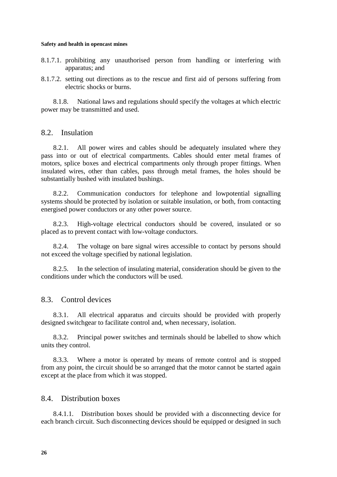- 8.1.7.1. prohibiting any unauthorised person from handling or interfering with apparatus; and
- 8.1.7.2. setting out directions as to the rescue and first aid of persons suffering from electric shocks or burns.

8.1.8. National laws and regulations should specify the voltages at which electric power may be transmitted and used.

# 8.2. Insulation

8.2.1. All power wires and cables should be adequately insulated where they pass into or out of electrical compartments. Cables should enter metal frames of motors, splice boxes and electrical compartments only through proper fittings. When insulated wires, other than cables, pass through metal frames, the holes should be substantially bushed with insulated bushings.

8.2.2. Communication conductors for telephone and lowpotential signalling systems should be protected by isolation or suitable insulation, or both, from contacting energised power conductors or any other power source.

8.2.3. High-voltage electrical conductors should be covered, insulated or so placed as to prevent contact with low-voltage conductors.

8.2.4. The voltage on bare signal wires accessible to contact by persons should not exceed the voltage specified by national legislation.

8.2.5. In the selection of insulating material, consideration should be given to the conditions under which the conductors will be used.

# 8.3. Control devices

8.3.1. All electrical apparatus and circuits should be provided with properly designed switchgear to facilitate control and, when necessary, isolation.

8.3.2. Principal power switches and terminals should be labelled to show which units they control.

8.3.3. Where a motor is operated by means of remote control and is stopped from any point, the circuit should be so arranged that the motor cannot be started again except at the place from which it was stopped.

# 8.4. Distribution boxes

8.4.1.1. Distribution boxes should be provided with a disconnecting device for each branch circuit. Such disconnecting devices should be equipped or designed in such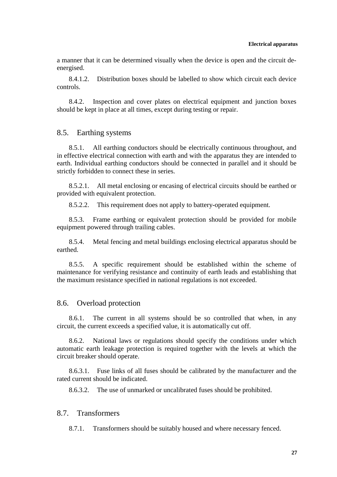a manner that it can be determined visually when the device is open and the circuit deenergised.

8.4.1.2. Distribution boxes should be labelled to show which circuit each device controls.

8.4.2. Inspection and cover plates on electrical equipment and junction boxes should be kept in place at all times, except during testing or repair.

## 8.5. Earthing systems

8.5.1. All earthing conductors should be electrically continuous throughout, and in effective electrical connection with earth and with the apparatus they are intended to earth. Individual earthing conductors should be connected in parallel and it should be strictly forbidden to connect these in series.

8.5.2.1. All metal enclosing or encasing of electrical circuits should be earthed or provided with equivalent protection.

8.5.2.2. This requirement does not apply to battery-operated equipment.

8.5.3. Frame earthing or equivalent protection should be provided for mobile equipment powered through trailing cables.

8.5.4. Metal fencing and metal buildings enclosing electrical apparatus should be earthed.

8.5.5. A specific requirement should be established within the scheme of maintenance for verifying resistance and continuity of earth leads and establishing that the maximum resistance specified in national regulations is not exceeded.

# 8.6. Overload protection

8.6.1. The current in all systems should be so controlled that when, in any circuit, the current exceeds a specified value, it is automatically cut off.

8.6.2. National laws or regulations should specify the conditions under which automatic earth leakage protection is required together with the levels at which the circuit breaker should operate.

8.6.3.1. Fuse links of all fuses should be calibrated by the manufacturer and the rated current should be indicated.

8.6.3.2. The use of unmarked or uncalibrated fuses should be prohibited.

# 8.7. Transformers

8.7.1. Transformers should be suitably housed and where necessary fenced.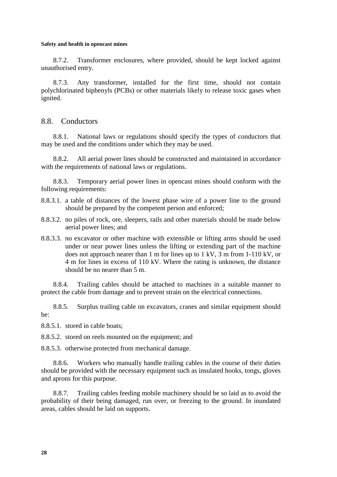8.7.2. Transformer enclosures, where provided, should be kept locked against unauthorised entry.

8.7.3. Any transformer, installed for the first time, should not contain polychlorinated biphenyls (PCBs) or other materials likely to release toxic gases when ignited.

# 8.8. Conductors

8.8.1. National laws or regulations should specify the types of conductors that may be used and the conditions under which they may be used.

8.8.2. All aerial power lines should be constructed and maintained in accordance with the requirements of national laws or regulations.

8.8.3. Temporary aerial power lines in opencast mines should conform with the following requirements:

- 8.8.3.1. a table of distances of the lowest phase wire of a power line to the ground should be prepared by the competent person and enforced;
- 8.8.3.2. no piles of rock, ore, sleepers, rails and other materials should be made below aerial power lines; and
- 8.8.3.3. no excavator or other machine with extensible or lifting arms should be used under or near power lines unless the lifting or extending part of the machine does not approach nearer than 1 m for lines up to 1 kV, 3 m from 1-110 kV, or 4 m for lines in excess of 110 kV. Where the rating is unknown, the distance should be no nearer than 5 m.

8.8.4. Trailing cables should be attached to machines in a suitable manner to protect the cable from damage and to prevent strain on the electrical connections.

8.8.5. Surplus trailing cable on excavators, cranes and similar equipment should be:

8.8.5.1. stored in cable boats;

8.8.5.2. stored on reels mounted on the equipment; and

8.8.5.3. otherwise protected from mechanical damage.

8.8.6. Workers who manually handle trailing cables in the course of their duties should be provided with the necessary equipment such as insulated hooks, tongs, gloves and aprons for this purpose.

8.8.7. Trailing cables feeding mobile machinery should be so laid as to avoid the probability of their being damaged, run over, or freezing to the ground. In inundated areas, cables should be laid on supports.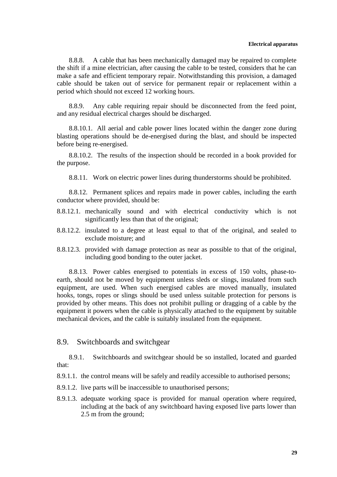### **Electrical apparatus**

8.8.8. A cable that has been mechanically damaged may be repaired to complete the shift if a mine electrician, after causing the cable to be tested, considers that he can make a safe and efficient temporary repair. Notwithstanding this provision, a damaged cable should be taken out of service for permanent repair or replacement within a period which should not exceed 12 working hours.

8.8.9. Any cable requiring repair should be disconnected from the feed point, and any residual electrical charges should be discharged.

8.8.10.1. All aerial and cable power lines located within the danger zone during blasting operations should be de-energised during the blast, and should be inspected before being re-energised.

8.8.10.2. The results of the inspection should be recorded in a book provided for the purpose.

8.8.11. Work on electric power lines during thunderstorms should be prohibited.

8.8.12. Permanent splices and repairs made in power cables, including the earth conductor where provided, should be:

- 8.8.12.1. mechanically sound and with electrical conductivity which is not significantly less than that of the original;
- 8.8.12.2. insulated to a degree at least equal to that of the original, and sealed to exclude moisture; and
- 8.8.12.3. provided with damage protection as near as possible to that of the original, including good bonding to the outer jacket.

8.8.13. Power cables energised to potentials in excess of 150 volts, phase-toearth, should not be moved by equipment unless sleds or slings, insulated from such equipment, are used. When such energised cables are moved manually, insulated hooks, tongs, ropes or slings should be used unless suitable protection for persons is provided by other means. This does not prohibit pulling or dragging of a cable by the equipment it powers when the cable is physically attached to the equipment by suitable mechanical devices, and the cable is suitably insulated from the equipment.

## 8.9. Switchboards and switchgear

8.9.1. Switchboards and switchgear should be so installed, located and guarded that:

- 8.9.1.1. the control means will be safely and readily accessible to authorised persons;
- 8.9.1.2. live parts will be inaccessible to unauthorised persons;
- 8.9.1.3. adequate working space is provided for manual operation where required, including at the back of any switchboard having exposed live parts lower than 2.5 m from the ground;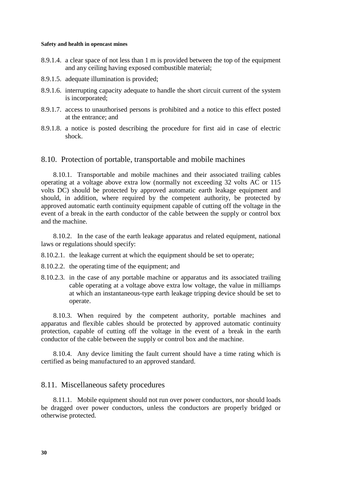- 8.9.1.4. a clear space of not less than 1 m is provided between the top of the equipment and any ceiling having exposed combustible material;
- 8.9.1.5. adequate illumination is provided;
- 8.9.1.6. interrupting capacity adequate to handle the short circuit current of the system is incorporated;
- 8.9.1.7. access to unauthorised persons is prohibited and a notice to this effect posted at the entrance; and
- 8.9.1.8. a notice is posted describing the procedure for first aid in case of electric shock.

# 8.10. Protection of portable, transportable and mobile machines

8.10.1. Transportable and mobile machines and their associated trailing cables operating at a voltage above extra low (normally not exceeding 32 volts AC or 115 volts DC) should be protected by approved automatic earth leakage equipment and should, in addition, where required by the competent authority, be protected by approved automatic earth continuity equipment capable of cutting off the voltage in the event of a break in the earth conductor of the cable between the supply or control box and the machine.

8.10.2. In the case of the earth leakage apparatus and related equipment, national laws or regulations should specify:

- 8.10.2.1. the leakage current at which the equipment should be set to operate;
- 8.10.2.2. the operating time of the equipment; and
- 8.10.2.3. in the case of any portable machine or apparatus and its associated trailing cable operating at a voltage above extra low voltage, the value in milliamps at which an instantaneous-type earth leakage tripping device should be set to operate.

8.10.3. When required by the competent authority, portable machines and apparatus and flexible cables should be protected by approved automatic continuity protection, capable of cutting off the voltage in the event of a break in the earth conductor of the cable between the supply or control box and the machine.

8.10.4. Any device limiting the fault current should have a time rating which is certified as being manufactured to an approved standard.

## 8.11. Miscellaneous safety procedures

8.11.1. Mobile equipment should not run over power conductors, nor should loads be dragged over power conductors, unless the conductors are properly bridged or otherwise protected.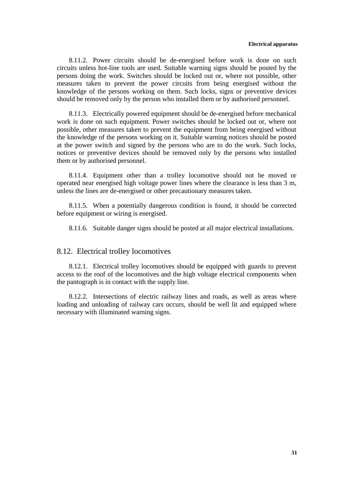8.11.2. Power circuits should be de-energised before work is done on such circuits unless hot-line tools are used. Suitable warning signs should be posted by the persons doing the work. Switches should be locked out or, where not possible, other measures taken to prevent the power circuits from being energised without the knowledge of the persons working on them. Such locks, signs or preventive devices should be removed only by the person who installed them or by authorised personnel.

8.11.3. Electrically powered equipment should be de-energised before mechanical work is done on such equipment. Power switches should be locked out or, where not possible, other measures taken to prevent the equipment from being energised without the knowledge of the persons working on it. Suitable warning notices should be posted at the power switch and signed by the persons who are to do the work. Such locks, notices or preventive devices should be removed only by the persons who installed them or by authorised personnel.

8.11.4. Equipment other than a trolley locomotive should not be moved or operated near energised high voltage power lines where the clearance is less than 3 m, unless the lines are de-energised or other precautionary measures taken.

8.11.5. When a potentially dangerous condition is found, it should be corrected before equipment or wiring is energised.

8.11.6. Suitable danger signs should be posted at all major electrical installations.

# 8.12. Electrical trolley locomotives

8.12.1. Electrical trolley locomotives should be equipped with guards to prevent access to the roof of the locomotives and the high voltage electrical components when the pantograph is in contact with the supply line.

8.12.2. Intersections of electric railway lines and roads, as well as areas where loading and unloading of railway cars occurs, should be well lit and equipped where necessary with illuminated warning signs.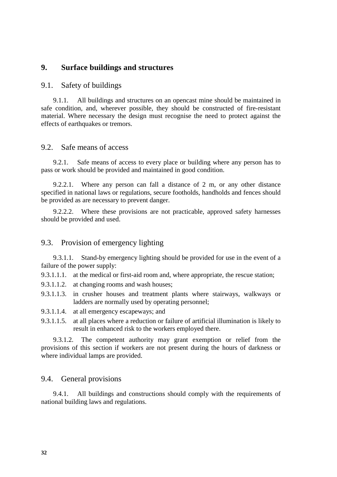# **9. Surface buildings and structures**

# 9.1. Safety of buildings

9.1.1. All buildings and structures on an opencast mine should be maintained in safe condition, and, wherever possible, they should be constructed of fire-resistant material. Where necessary the design must recognise the need to protect against the effects of earthquakes or tremors.

# 9.2. Safe means of access

9.2.1. Safe means of access to every place or building where any person has to pass or work should be provided and maintained in good condition.

9.2.2.1. Where any person can fall a distance of 2 m, or any other distance specified in national laws or regulations, secure footholds, handholds and fences should be provided as are necessary to prevent danger.

9.2.2.2. Where these provisions are not practicable, approved safety harnesses should be provided and used.

# 9.3. Provision of emergency lighting

9.3.1.1. Stand-by emergency lighting should be provided for use in the event of a failure of the power supply:

9.3.1.1.1. at the medical or first-aid room and, where appropriate, the rescue station;

- 9.3.1.1.2. at changing rooms and wash houses;
- 9.3.1.1.3. in crusher houses and treatment plants where stairways, walkways or ladders are normally used by operating personnel;
- 9.3.1.1.4. at all emergency escapeways; and
- 9.3.1.1.5. at all places where a reduction or failure of artificial illumination is likely to result in enhanced risk to the workers employed there.

9.3.1.2. The competent authority may grant exemption or relief from the provisions of this section if workers are not present during the hours of darkness or where individual lamps are provided.

## 9.4. General provisions

9.4.1. All buildings and constructions should comply with the requirements of national building laws and regulations.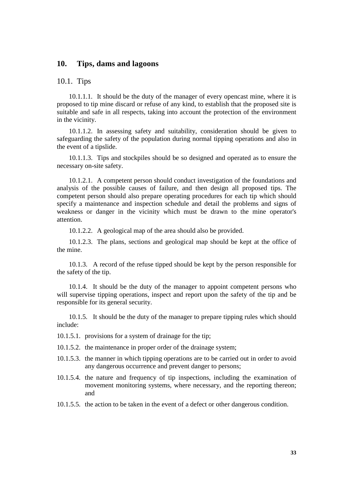# **10. Tips, dams and lagoons**

## 10.1. Tips

10.1.1.1. It should be the duty of the manager of every opencast mine, where it is proposed to tip mine discard or refuse of any kind, to establish that the proposed site is suitable and safe in all respects, taking into account the protection of the environment in the vicinity.

10.1.1.2. In assessing safety and suitability, consideration should be given to safeguarding the safety of the population during normal tipping operations and also in the event of a tipslide.

10.1.1.3. Tips and stockpiles should be so designed and operated as to ensure the necessary on-site safety.

10.1.2.1. A competent person should conduct investigation of the foundations and analysis of the possible causes of failure, and then design all proposed tips. The competent person should also prepare operating procedures for each tip which should specify a maintenance and inspection schedule and detail the problems and signs of weakness or danger in the vicinity which must be drawn to the mine operator's attention.

10.1.2.2. A geological map of the area should also be provided.

10.1.2.3. The plans, sections and geological map should be kept at the office of the mine.

10.1.3. A record of the refuse tipped should be kept by the person responsible for the safety of the tip.

10.1.4. It should be the duty of the manager to appoint competent persons who will supervise tipping operations, inspect and report upon the safety of the tip and be responsible for its general security.

10.1.5. It should be the duty of the manager to prepare tipping rules which should include:

10.1.5.1. provisions for a system of drainage for the tip;

10.1.5.2. the maintenance in proper order of the drainage system;

- 10.1.5.3. the manner in which tipping operations are to be carried out in order to avoid any dangerous occurrence and prevent danger to persons;
- 10.1.5.4. the nature and frequency of tip inspections, including the examination of movement monitoring systems, where necessary, and the reporting thereon; and
- 10.1.5.5. the action to be taken in the event of a defect or other dangerous condition.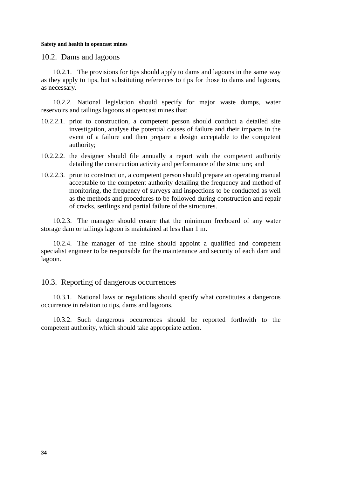10.2. Dams and lagoons

10.2.1. The provisions for tips should apply to dams and lagoons in the same way as they apply to tips, but substituting references to tips for those to dams and lagoons, as necessary.

10.2.2. National legislation should specify for major waste dumps, water reservoirs and tailings lagoons at opencast mines that:

- 10.2.2.1. prior to construction, a competent person should conduct a detailed site investigation, analyse the potential causes of failure and their impacts in the event of a failure and then prepare a design acceptable to the competent authority;
- 10.2.2.2. the designer should file annually a report with the competent authority detailing the construction activity and performance of the structure; and
- 10.2.2.3. prior to construction, a competent person should prepare an operating manual acceptable to the competent authority detailing the frequency and method of monitoring, the frequency of surveys and inspections to be conducted as well as the methods and procedures to be followed during construction and repair of cracks, settlings and partial failure of the structures.

10.2.3. The manager should ensure that the minimum freeboard of any water storage dam or tailings lagoon is maintained at less than 1 m.

10.2.4. The manager of the mine should appoint a qualified and competent specialist engineer to be responsible for the maintenance and security of each dam and lagoon.

# 10.3. Reporting of dangerous occurrences

10.3.1. National laws or regulations should specify what constitutes a dangerous occurrence in relation to tips, dams and lagoons.

10.3.2. Such dangerous occurrences should be reported forthwith to the competent authority, which should take appropriate action.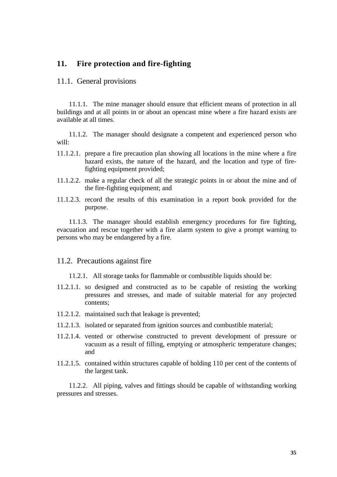# **11. Fire protection and fire-fighting**

## 11.1. General provisions

11.1.1. The mine manager should ensure that efficient means of protection in all buildings and at all points in or about an opencast mine where a fire hazard exists are available at all times.

11.1.2. The manager should designate a competent and experienced person who will:

- 11.1.2.1. prepare a fire precaution plan showing all locations in the mine where a fire hazard exists, the nature of the hazard, and the location and type of firefighting equipment provided;
- 11.1.2.2. make a regular check of all the strategic points in or about the mine and of the fire-fighting equipment; and
- 11.1.2.3. record the results of this examination in a report book provided for the purpose.

11.1.3. The manager should establish emergency procedures for fire fighting, evacuation and rescue together with a fire alarm system to give a prompt warning to persons who may be endangered by a fire.

# 11.2. Precautions against fire

- 11.2.1. All storage tanks for flammable or combustible liquids should be:
- 11.2.1.1. so designed and constructed as to be capable of resisting the working pressures and stresses, and made of suitable material for any projected contents;
- 11.2.1.2. maintained such that leakage is prevented;
- 11.2.1.3. isolated or separated from ignition sources and combustible material;
- 11.2.1.4. vented or otherwise constructed to prevent development of pressure or vacuum as a result of filling, emptying or atmospheric temperature changes; and
- 11.2.1.5. contained within structures capable of holding 110 per cent of the contents of the largest tank.

11.2.2. All piping, valves and fittings should be capable of withstanding working pressures and stresses.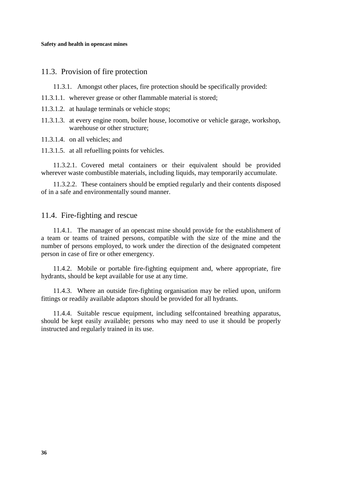# 11.3. Provision of fire protection

11.3.1. Amongst other places, fire protection should be specifically provided:

- 11.3.1.1. wherever grease or other flammable material is stored;
- 11.3.1.2. at haulage terminals or vehicle stops;
- 11.3.1.3. at every engine room, boiler house, locomotive or vehicle garage, workshop, warehouse or other structure;

11.3.1.4. on all vehicles; and

11.3.1.5. at all refuelling points for vehicles.

11.3.2.1. Covered metal containers or their equivalent should be provided wherever waste combustible materials, including liquids, may temporarily accumulate.

11.3.2.2. These containers should be emptied regularly and their contents disposed of in a safe and environmentally sound manner.

# 11.4. Fire-fighting and rescue

11.4.1. The manager of an opencast mine should provide for the establishment of a team or teams of trained persons, compatible with the size of the mine and the number of persons employed, to work under the direction of the designated competent person in case of fire or other emergency.

11.4.2. Mobile or portable fire-fighting equipment and, where appropriate, fire hydrants, should be kept available for use at any time.

11.4.3. Where an outside fire-fighting organisation may be relied upon, uniform fittings or readily available adaptors should be provided for all hydrants.

11.4.4. Suitable rescue equipment, including selfcontained breathing apparatus, should be kept easily available; persons who may need to use it should be properly instructed and regularly trained in its use.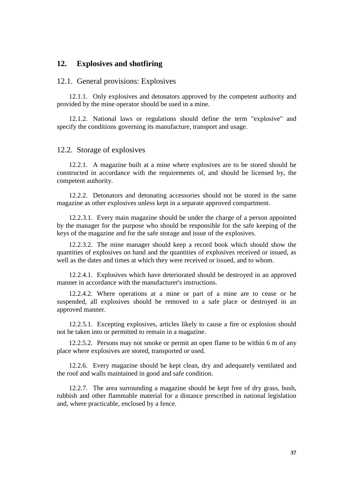# **12. Explosives and shotfiring**

### 12.1. General provisions: Explosives

12.1.1. Only explosives and detonators approved by the competent authority and provided by the mine operator should be used in a mine.

12.1.2. National laws or regulations should define the term "explosive" and specify the conditions governing its manufacture, transport and usage.

## 12.2. Storage of explosives

12.2.1. A magazine built at a mine where explosives are to be stored should be constructed in accordance with the requirements of, and should be licensed by, the competent authority.

12.2.2. Detonators and detonating accessories should not be stored in the same magazine as other explosives unless kept in a separate approved compartment.

12.2.3.1. Every main magazine should be under the charge of a person appointed by the manager for the purpose who should be responsible for the safe keeping of the keys of the magazine and for the safe storage and issue of the explosives.

12.2.3.2. The mine manager should keep a record book which should show the quantities of explosives on hand and the quantities of explosives received or issued, as well as the dates and times at which they were received or issued, and to whom.

12.2.4.1. Explosives which have deteriorated should be destroyed in an approved manner in accordance with the manufacturer's instructions.

12.2.4.2. Where operations at a mine or part of a mine are to cease or be suspended, all explosives should be removed to a safe place or destroyed in an approved manner.

12.2.5.1. Excepting explosives, articles likely to cause a fire or explosion should not be taken into or permitted to remain in a magazine.

12.2.5.2. Persons may not smoke or permit an open flame to be within 6 m of any place where explosives are stored, transported or used.

12.2.6. Every magazine should be kept clean, dry and adequately ventilated and the roof and walls maintained in good and safe condition.

12.2.7. The area surrounding a magazine should be kept free of dry grass, bush, rubbish and other flammable material for a distance prescribed in national legislation and, where practicable, enclosed by a fence.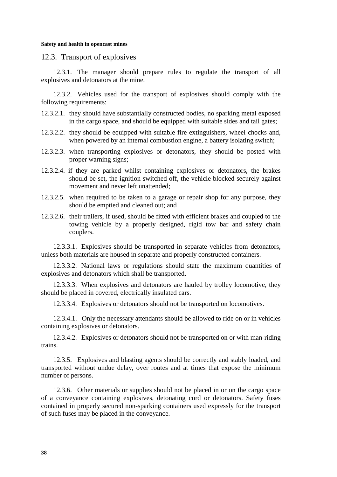12.3. Transport of explosives

12.3.1. The manager should prepare rules to regulate the transport of all explosives and detonators at the mine.

12.3.2. Vehicles used for the transport of explosives should comply with the following requirements:

- 12.3.2.1. they should have substantially constructed bodies, no sparking metal exposed in the cargo space, and should be equipped with suitable sides and tail gates;
- 12.3.2.2. they should be equipped with suitable fire extinguishers, wheel chocks and, when powered by an internal combustion engine, a battery isolating switch;
- 12.3.2.3. when transporting explosives or detonators, they should be posted with proper warning signs;
- 12.3.2.4. if they are parked whilst containing explosives or detonators, the brakes should be set, the ignition switched off, the vehicle blocked securely against movement and never left unattended;
- 12.3.2.5. when required to be taken to a garage or repair shop for any purpose, they should be emptied and cleaned out; and
- 12.3.2.6. their trailers, if used, should be fitted with efficient brakes and coupled to the towing vehicle by a properly designed, rigid tow bar and safety chain couplers.

12.3.3.1. Explosives should be transported in separate vehicles from detonators, unless both materials are housed in separate and properly constructed containers.

12.3.3.2. National laws or regulations should state the maximum quantities of explosives and detonators which shall be transported.

12.3.3.3. When explosives and detonators are hauled by trolley locomotive, they should be placed in covered, electrically insulated cars.

12.3.3.4. Explosives or detonators should not be transported on locomotives.

12.3.4.1. Only the necessary attendants should be allowed to ride on or in vehicles containing explosives or detonators.

12.3.4.2. Explosives or detonators should not be transported on or with man-riding trains.

12.3.5. Explosives and blasting agents should be correctly and stably loaded, and transported without undue delay, over routes and at times that expose the minimum number of persons.

12.3.6. Other materials or supplies should not be placed in or on the cargo space of a conveyance containing explosives, detonating cord or detonators. Safety fuses contained in properly secured non-sparking containers used expressly for the transport of such fuses may be placed in the conveyance.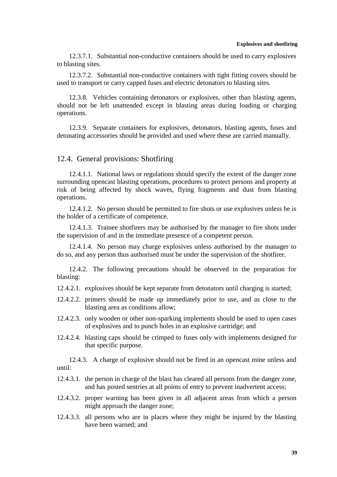12.3.7.1. Substantial non-conductive containers should be used to carry explosives to blasting sites.

12.3.7.2. Substantial non-conductive containers with tight fitting covers should be used to transport or carry capped fuses and electric detonators to blasting sites.

12.3.8. Vehicles containing detonators or explosives, other than blasting agents, should not be left unattended except in blasting areas during loading or charging operations.

12.3.9. Separate containers for explosives, detonators, blasting agents, fuses and detonating accessories should be provided and used where these are carried manually.

## 12.4. General provisions: Shotfiring

12.4.1.1. National laws or regulations should specify the extent of the danger zone surrounding opencast blasting operations, procedures to protect persons and property at risk of being affected by shock waves, flying fragments and dust from blasting operations.

12.4.1.2. No person should be permitted to fire shots or use explosives unless he is the holder of a certificate of competence.

12.4.1.3. Trainee shotfirers may be authorised by the manager to fire shots under the supervision of and in the immediate presence of a competent person.

12.4.1.4. No person may charge explosives unless authorised by the manager to do so, and any person thus authorised must be under the supervision of the shotfirer.

12.4.2. The following precautions should be observed in the preparation for blasting:

- 12.4.2.1. explosives should be kept separate from detonators until charging is started;
- 12.4.2.2. primers should be made up immediately prior to use, and as close to the blasting area as conditions allow;
- 12.4.2.3. only wooden or other non-sparking implements should be used to open cases of explosives and to punch holes in an explosive cartridge; and
- 12.4.2.4. blasting caps should be crimped to fuses only with implements designed for that specific purpose.

12.4.3. A charge of explosive should not be fired in an opencast mine unless and until:

- 12.4.3.1. the person in charge of the blast has cleared all persons from the danger zone, and has posted sentries at all points of entry to prevent inadvertent access;
- 12.4.3.2. proper warning has been given in all adjacent areas from which a person might approach the danger zone;
- 12.4.3.3. all persons who are in places where they might be injured by the blasting have been warned; and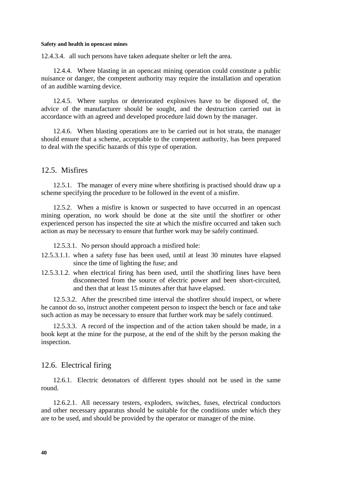12.4.3.4. all such persons have taken adequate shelter or left the area.

12.4.4. Where blasting in an opencast mining operation could constitute a public nuisance or danger, the competent authority may require the installation and operation of an audible warning device.

12.4.5. Where surplus or deteriorated explosives have to be disposed of, the advice of the manufacturer should be sought, and the destruction carried out in accordance with an agreed and developed procedure laid down by the manager.

12.4.6. When blasting operations are to be carried out in hot strata, the manager should ensure that a scheme, acceptable to the competent authority, has been prepared to deal with the specific hazards of this type of operation.

# 12.5. Misfires

12.5.1. The manager of every mine where shotfiring is practised should draw up a scheme specifying the procedure to be followed in the event of a misfire.

12.5.2. When a misfire is known or suspected to have occurred in an opencast mining operation, no work should be done at the site until the shotfirer or other experienced person has inspected the site at which the misfire occurred and taken such action as may be necessary to ensure that further work may be safely continued.

12.5.3.1. No person should approach a misfired hole:

- 12.5.3.1.1. when a safety fuse has been used, until at least 30 minutes have elapsed since the time of lighting the fuse; and
- 12.5.3.1.2. when electrical firing has been used, until the shotfiring lines have been disconnected from the source of electric power and been short-circuited, and then that at least 15 minutes after that have elapsed.

12.5.3.2. After the prescribed time interval the shotfirer should inspect, or where he cannot do so, instruct another competent person to inspect the bench or face and take such action as may be necessary to ensure that further work may be safely continued.

12.5.3.3. A record of the inspection and of the action taken should be made, in a book kept at the mine for the purpose, at the end of the shift by the person making the inspection.

# 12.6. Electrical firing

12.6.1. Electric detonators of different types should not be used in the same round.

12.6.2.1. All necessary testers, exploders, switches, fuses, electrical conductors and other necessary apparatus should be suitable for the conditions under which they are to be used, and should be provided by the operator or manager of the mine.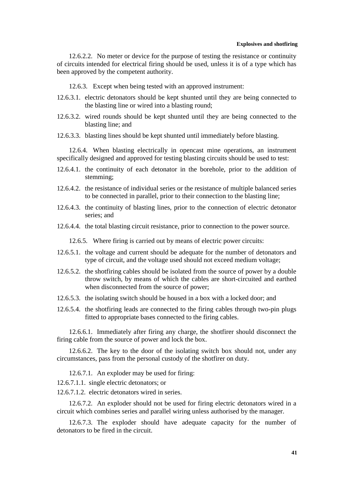#### **Explosives and shotfiring**

12.6.2.2. No meter or device for the purpose of testing the resistance or continuity of circuits intended for electrical firing should be used, unless it is of a type which has been approved by the competent authority.

12.6.3. Except when being tested with an approved instrument:

- 12.6.3.1. electric detonators should be kept shunted until they are being connected to the blasting line or wired into a blasting round;
- 12.6.3.2. wired rounds should be kept shunted until they are being connected to the blasting line; and
- 12.6.3.3. blasting lines should be kept shunted until immediately before blasting.

12.6.4. When blasting electrically in opencast mine operations, an instrument specifically designed and approved for testing blasting circuits should be used to test:

- 12.6.4.1. the continuity of each detonator in the borehole, prior to the addition of stemming;
- 12.6.4.2. the resistance of individual series or the resistance of multiple balanced series to be connected in parallel, prior to their connection to the blasting line;
- 12.6.4.3. the continuity of blasting lines, prior to the connection of electric detonator series; and
- 12.6.4.4. the total blasting circuit resistance, prior to connection to the power source.

12.6.5. Where firing is carried out by means of electric power circuits:

- 12.6.5.1. the voltage and current should be adequate for the number of detonators and type of circuit, and the voltage used should not exceed medium voltage;
- 12.6.5.2. the shotfiring cables should be isolated from the source of power by a double throw switch, by means of which the cables are short-circuited and earthed when disconnected from the source of power;
- 12.6.5.3. the isolating switch should be housed in a box with a locked door; and
- 12.6.5.4. the shotfiring leads are connected to the firing cables through two-pin plugs fitted to appropriate bases connected to the firing cables.

12.6.6.1. Immediately after firing any charge, the shotfirer should disconnect the firing cable from the source of power and lock the box.

12.6.6.2. The key to the door of the isolating switch box should not, under any circumstances, pass from the personal custody of the shotfirer on duty.

12.6.7.1. An exploder may be used for firing:

12.6.7.1.1. single electric detonators; or

12.6.7.1.2. electric detonators wired in series.

12.6.7.2. An exploder should not be used for firing electric detonators wired in a circuit which combines series and parallel wiring unless authorised by the manager.

12.6.7.3. The exploder should have adequate capacity for the number of detonators to be fired in the circuit.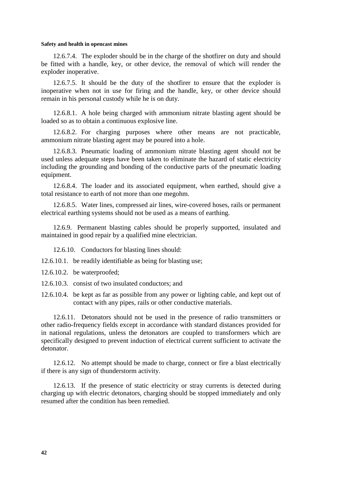12.6.7.4. The exploder should be in the charge of the shotfirer on duty and should be fitted with a handle, key, or other device, the removal of which will render the exploder inoperative.

12.6.7.5. It should be the duty of the shotfirer to ensure that the exploder is inoperative when not in use for firing and the handle, key, or other device should remain in his personal custody while he is on duty.

12.6.8.1. A hole being charged with ammonium nitrate blasting agent should be loaded so as to obtain a continuous explosive line.

12.6.8.2. For charging purposes where other means are not practicable, ammonium nitrate blasting agent may be poured into a hole.

12.6.8.3. Pneumatic loading of ammonium nitrate blasting agent should not be used unless adequate steps have been taken to eliminate the hazard of static electricity including the grounding and bonding of the conductive parts of the pneumatic loading equipment.

12.6.8.4. The loader and its associated equipment, when earthed, should give a total resistance to earth of not more than one megohm.

12.6.8.5. Water lines, compressed air lines, wire-covered hoses, rails or permanent electrical earthing systems should not be used as a means of earthing.

12.6.9. Permanent blasting cables should be properly supported, insulated and maintained in good repair by a qualified mine electrician.

12.6.10. Conductors for blasting lines should:

12.6.10.1. be readily identifiable as being for blasting use;

- 12.6.10.2. be waterproofed;
- 12.6.10.3. consist of two insulated conductors; and
- 12.6.10.4. be kept as far as possible from any power or lighting cable, and kept out of contact with any pipes, rails or other conductive materials.

12.6.11. Detonators should not be used in the presence of radio transmitters or other radio-frequency fields except in accordance with standard distances provided for in national regulations, unless the detonators are coupled to transformers which are specifically designed to prevent induction of electrical current sufficient to activate the detonator.

12.6.12. No attempt should be made to charge, connect or fire a blast electrically if there is any sign of thunderstorm activity.

12.6.13. If the presence of static electricity or stray currents is detected during charging up with electric detonators, charging should be stopped immediately and only resumed after the condition has been remedied.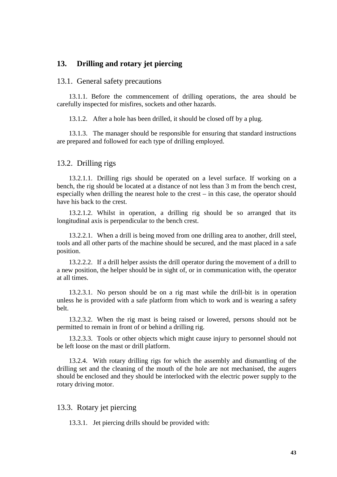# **13. Drilling and rotary jet piercing**

## 13.1. General safety precautions

13.1.1. Before the commencement of drilling operations, the area should be carefully inspected for misfires, sockets and other hazards.

13.1.2. After a hole has been drilled, it should be closed off by a plug.

13.1.3. The manager should be responsible for ensuring that standard instructions are prepared and followed for each type of drilling employed.

### 13.2. Drilling rigs

13.2.1.1. Drilling rigs should be operated on a level surface. If working on a bench, the rig should be located at a distance of not less than 3 m from the bench crest, especially when drilling the nearest hole to the crest – in this case, the operator should have his back to the crest.

13.2.1.2. Whilst in operation, a drilling rig should be so arranged that its longitudinal axis is perpendicular to the bench crest.

13.2.2.1. When a drill is being moved from one drilling area to another, drill steel, tools and all other parts of the machine should be secured, and the mast placed in a safe position.

13.2.2.2. If a drill helper assists the drill operator during the movement of a drill to a new position, the helper should be in sight of, or in communication with, the operator at all times.

13.2.3.1. No person should be on a rig mast while the drill-bit is in operation unless he is provided with a safe platform from which to work and is wearing a safety belt.

13.2.3.2. When the rig mast is being raised or lowered, persons should not be permitted to remain in front of or behind a drilling rig.

13.2.3.3. Tools or other objects which might cause injury to personnel should not be left loose on the mast or drill platform.

13.2.4. With rotary drilling rigs for which the assembly and dismantling of the drilling set and the cleaning of the mouth of the hole are not mechanised, the augers should be enclosed and they should be interlocked with the electric power supply to the rotary driving motor.

## 13.3. Rotary jet piercing

13.3.1. Jet piercing drills should be provided with: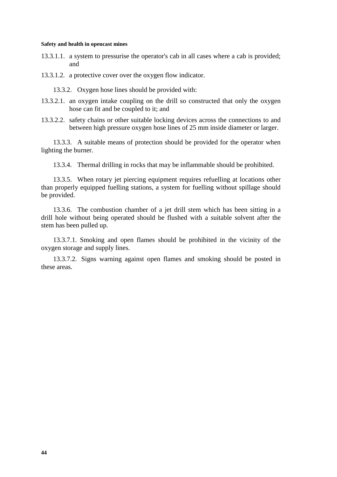13.3.1.1. a system to pressurise the operator's cab in all cases where a cab is provided; and

13.3.1.2. a protective cover over the oxygen flow indicator.

13.3.2. Oxygen hose lines should be provided with:

- 13.3.2.1. an oxygen intake coupling on the drill so constructed that only the oxygen hose can fit and be coupled to it; and
- 13.3.2.2. safety chains or other suitable locking devices across the connections to and between high pressure oxygen hose lines of 25 mm inside diameter or larger.

13.3.3. A suitable means of protection should be provided for the operator when lighting the burner.

13.3.4. Thermal drilling in rocks that may be inflammable should be prohibited.

13.3.5. When rotary jet piercing equipment requires refuelling at locations other than properly equipped fuelling stations, a system for fuelling without spillage should be provided.

13.3.6. The combustion chamber of a jet drill stem which has been sitting in a drill hole without being operated should be flushed with a suitable solvent after the stem has been pulled up.

13.3.7.1. Smoking and open flames should be prohibited in the vicinity of the oxygen storage and supply lines.

13.3.7.2. Signs warning against open flames and smoking should be posted in these areas.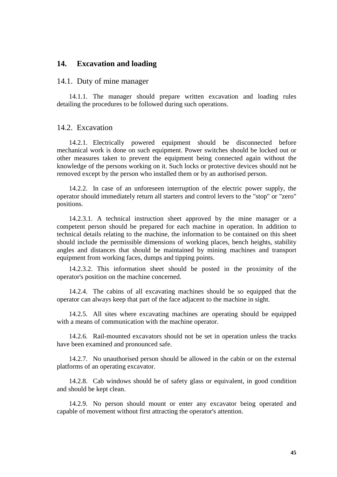# **14. Excavation and loading**

### 14.1. Duty of mine manager

14.1.1. The manager should prepare written excavation and loading rules detailing the procedures to be followed during such operations.

# 14.2. Excavation

14.2.1. Electrically powered equipment should be disconnected before mechanical work is done on such equipment. Power switches should be locked out or other measures taken to prevent the equipment being connected again without the knowledge of the persons working on it. Such locks or protective devices should not be removed except by the person who installed them or by an authorised person.

14.2.2. In case of an unforeseen interruption of the electric power supply, the operator should immediately return all starters and control levers to the "stop" or "zero" positions.

14.2.3.1. A technical instruction sheet approved by the mine manager or a competent person should be prepared for each machine in operation. In addition to technical details relating to the machine, the information to be contained on this sheet should include the permissible dimensions of working places, bench heights, stability angles and distances that should be maintained by mining machines and transport equipment from working faces, dumps and tipping points.

14.2.3.2. This information sheet should be posted in the proximity of the operator's position on the machine concerned.

14.2.4. The cabins of all excavating machines should be so equipped that the operator can always keep that part of the face adjacent to the machine in sight.

14.2.5. All sites where excavating machines are operating should be equipped with a means of communication with the machine operator.

14.2.6. Rail-mounted excavators should not be set in operation unless the tracks have been examined and pronounced safe.

14.2.7. No unauthorised person should be allowed in the cabin or on the external platforms of an operating excavator.

14.2.8. Cab windows should be of safety glass or equivalent, in good condition and should be kept clean.

14.2.9. No person should mount or enter any excavator being operated and capable of movement without first attracting the operator's attention.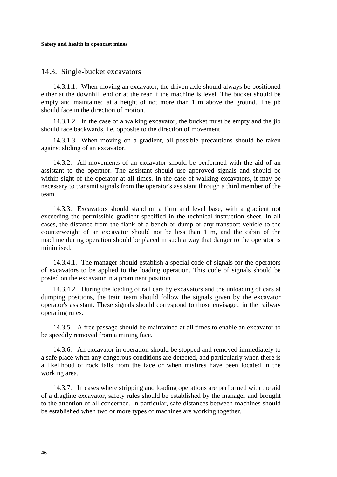# 14.3. Single-bucket excavators

14.3.1.1. When moving an excavator, the driven axle should always be positioned either at the downhill end or at the rear if the machine is level. The bucket should be empty and maintained at a height of not more than 1 m above the ground. The jib should face in the direction of motion.

14.3.1.2. In the case of a walking excavator, the bucket must be empty and the jib should face backwards, i.e. opposite to the direction of movement.

14.3.1.3. When moving on a gradient, all possible precautions should be taken against sliding of an excavator.

14.3.2. All movements of an excavator should be performed with the aid of an assistant to the operator. The assistant should use approved signals and should be within sight of the operator at all times. In the case of walking excavators, it may be necessary to transmit signals from the operator's assistant through a third member of the team.

14.3.3. Excavators should stand on a firm and level base, with a gradient not exceeding the permissible gradient specified in the technical instruction sheet. In all cases, the distance from the flank of a bench or dump or any transport vehicle to the counterweight of an excavator should not be less than 1 m, and the cabin of the machine during operation should be placed in such a way that danger to the operator is minimised.

14.3.4.1. The manager should establish a special code of signals for the operators of excavators to be applied to the loading operation. This code of signals should be posted on the excavator in a prominent position.

14.3.4.2. During the loading of rail cars by excavators and the unloading of cars at dumping positions, the train team should follow the signals given by the excavator operator's assistant. These signals should correspond to those envisaged in the railway operating rules.

14.3.5. A free passage should be maintained at all times to enable an excavator to be speedily removed from a mining face.

14.3.6. An excavator in operation should be stopped and removed immediately to a safe place when any dangerous conditions are detected, and particularly when there is a likelihood of rock falls from the face or when misfires have been located in the working area.

14.3.7. In cases where stripping and loading operations are performed with the aid of a dragline excavator, safety rules should be established by the manager and brought to the attention of all concerned. In particular, safe distances between machines should be established when two or more types of machines are working together.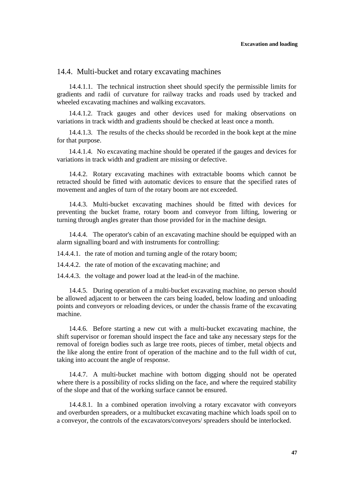# 14.4. Multi-bucket and rotary excavating machines

14.4.1.1. The technical instruction sheet should specify the permissible limits for gradients and radii of curvature for railway tracks and roads used by tracked and wheeled excavating machines and walking excavators.

14.4.1.2. Track gauges and other devices used for making observations on variations in track width and gradients should be checked at least once a month.

14.4.1.3. The results of the checks should be recorded in the book kept at the mine for that purpose.

14.4.1.4. No excavating machine should be operated if the gauges and devices for variations in track width and gradient are missing or defective.

14.4.2. Rotary excavating machines with extractable booms which cannot be retracted should be fitted with automatic devices to ensure that the specified rates of movement and angles of turn of the rotary boom are not exceeded.

14.4.3. Multi-bucket excavating machines should be fitted with devices for preventing the bucket frame, rotary boom and conveyor from lifting, lowering or turning through angles greater than those provided for in the machine design.

14.4.4. The operator's cabin of an excavating machine should be equipped with an alarm signalling board and with instruments for controlling:

14.4.4.1. the rate of motion and turning angle of the rotary boom;

14.4.4.2. the rate of motion of the excavating machine; and

14.4.4.3. the voltage and power load at the lead-in of the machine.

14.4.5. During operation of a multi-bucket excavating machine, no person should be allowed adjacent to or between the cars being loaded, below loading and unloading points and conveyors or reloading devices, or under the chassis frame of the excavating machine.

14.4.6. Before starting a new cut with a multi-bucket excavating machine, the shift supervisor or foreman should inspect the face and take any necessary steps for the removal of foreign bodies such as large tree roots, pieces of timber, metal objects and the like along the entire front of operation of the machine and to the full width of cut, taking into account the angle of response.

14.4.7. A multi-bucket machine with bottom digging should not be operated where there is a possibility of rocks sliding on the face, and where the required stability of the slope and that of the working surface cannot be ensured.

14.4.8.1. In a combined operation involving a rotary excavator with conveyors and overburden spreaders, or a multibucket excavating machine which loads spoil on to a conveyor, the controls of the excavators/conveyors/ spreaders should be interlocked.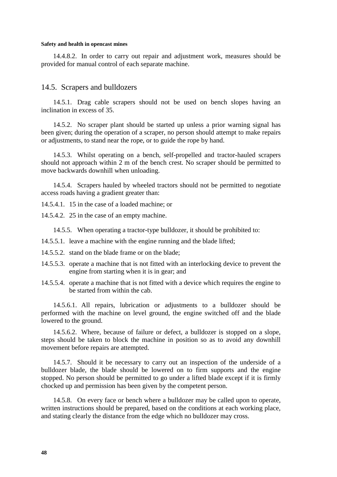14.4.8.2. In order to carry out repair and adjustment work, measures should be provided for manual control of each separate machine.

## 14.5. Scrapers and bulldozers

14.5.1. Drag cable scrapers should not be used on bench slopes having an inclination in excess of 35.

14.5.2. No scraper plant should be started up unless a prior warning signal has been given; during the operation of a scraper, no person should attempt to make repairs or adjustments, to stand near the rope, or to guide the rope by hand.

14.5.3. Whilst operating on a bench, self-propelled and tractor-hauled scrapers should not approach within 2 m of the bench crest. No scraper should be permitted to move backwards downhill when unloading.

14.5.4. Scrapers hauled by wheeled tractors should not be permitted to negotiate access roads having a gradient greater than:

14.5.4.1. 15 in the case of a loaded machine; or

14.5.4.2. 25 in the case of an empty machine.

14.5.5. When operating a tractor-type bulldozer, it should be prohibited to:

- 14.5.5.1. leave a machine with the engine running and the blade lifted;
- 14.5.5.2. stand on the blade frame or on the blade;
- 14.5.5.3. operate a machine that is not fitted with an interlocking device to prevent the engine from starting when it is in gear; and
- 14.5.5.4. operate a machine that is not fitted with a device which requires the engine to be started from within the cab.

14.5.6.1. All repairs, lubrication or adjustments to a bulldozer should be performed with the machine on level ground, the engine switched off and the blade lowered to the ground.

14.5.6.2. Where, because of failure or defect, a bulldozer is stopped on a slope, steps should be taken to block the machine in position so as to avoid any downhill movement before repairs are attempted.

14.5.7. Should it be necessary to carry out an inspection of the underside of a bulldozer blade, the blade should be lowered on to firm supports and the engine stopped. No person should be permitted to go under a lifted blade except if it is firmly chocked up and permission has been given by the competent person.

14.5.8. On every face or bench where a bulldozer may be called upon to operate, written instructions should be prepared, based on the conditions at each working place, and stating clearly the distance from the edge which no bulldozer may cross.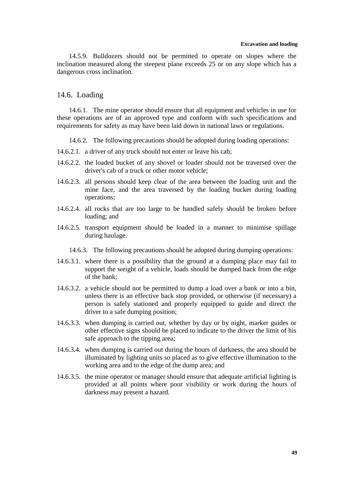### **Excavation and loading**

14.5.9. Bulldozers should not be permitted to operate on slopes where the inclination measured along the steepest plane exceeds 25 or on any slope which has a dangerous cross inclination.

# 14.6. Loading

14.6.1. The mine operator should ensure that all equipment and vehicles in use for these operations are of an approved type and conform with such specifications and requirements for safety as may have been laid down in national laws or regulations.

14.6.2. The following precautions should be adopted during loading operations:

- 14.6.2.1. a driver of any truck should not enter or leave his cab;
- 14.6.2.2. the loaded bucket of any shovel or loader should not be traversed over the driver's cab of a truck or other motor vehicle;
- 14.6.2.3. all persons should keep clear of the area between the loading unit and the mine face, and the area traversed by the loading bucket during loading operations;
- 14.6.2.4. all rocks that are too large to be handled safely should be broken before loading; and
- 14.6.2.5. transport equipment should be loaded in a manner to minimise spillage during haulage.
	- 14.6.3. The following precautions should be adopted during dumping operations:
- 14.6.3.1. where there is a possibility that the ground at a dumping place may fail to support the weight of a vehicle, loads should be dumped back from the edge of the bank;
- 14.6.3.2. a vehicle should not be permitted to dump a load over a bank or into a bin, unless there is an effective back stop provided, or otherwise (if necessary) a person is safely stationed and properly equipped to guide and direct the driver to a safe dumping position;
- 14.6.3.3. when dumping is carried out, whether by day or by night, marker guides or other effective signs should be placed to indicate to the driver the limit of his safe approach to the tipping area;
- 14.6.3.4. when dumping is carried out during the hours of darkness, the area should be illuminated by lighting units so placed as to give effective illumination to the working area and to the edge of the dump area; and
- 14.6.3.5. the mine operator or manager should ensure that adequate artificial lighting is provided at all points where poor visibility or work during the hours of darkness may present a hazard.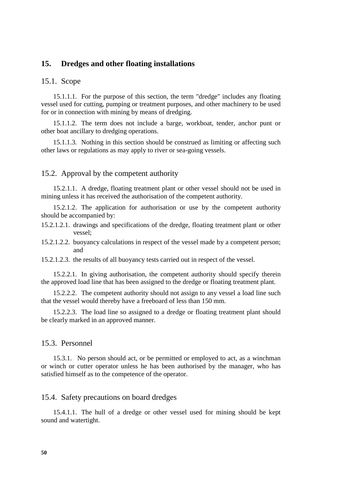# **15. Dredges and other floating installations**

## 15.1. Scope

15.1.1.1. For the purpose of this section, the term "dredge" includes any floating vessel used for cutting, pumping or treatment purposes, and other machinery to be used for or in connection with mining by means of dredging.

15.1.1.2. The term does not include a barge, workboat, tender, anchor punt or other boat ancillary to dredging operations.

15.1.1.3. Nothing in this section should be construed as limiting or affecting such other laws or regulations as may apply to river or sea-going vessels.

## 15.2. Approval by the competent authority

15.2.1.1. A dredge, floating treatment plant or other vessel should not be used in mining unless it has received the authorisation of the competent authority.

15.2.1.2. The application for authorisation or use by the competent authority should be accompanied by:

15.2.1.2.1. drawings and specifications of the dredge, floating treatment plant or other vessel;

15.2.1.2.2. buoyancy calculations in respect of the vessel made by a competent person; and

15.2.1.2.3. the results of all buoyancy tests carried out in respect of the vessel.

15.2.2.1. In giving authorisation, the competent authority should specify therein the approved load line that has been assigned to the dredge or floating treatment plant.

15.2.2.2. The competent authority should not assign to any vessel a load line such that the vessel would thereby have a freeboard of less than 150 mm.

15.2.2.3. The load line so assigned to a dredge or floating treatment plant should be clearly marked in an approved manner.

### 15.3. Personnel

15.3.1. No person should act, or be permitted or employed to act, as a winchman or winch or cutter operator unless he has been authorised by the manager, who has satisfied himself as to the competence of the operator.

# 15.4. Safety precautions on board dredges

15.4.1.1. The hull of a dredge or other vessel used for mining should be kept sound and watertight.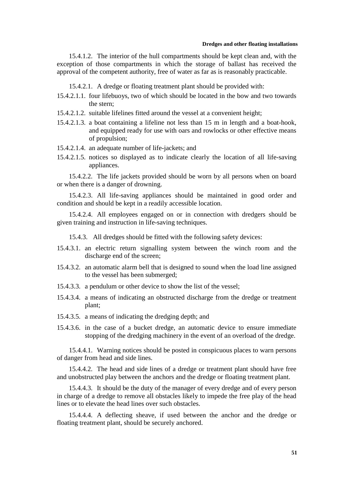### **Dredges and other floating installations**

15.4.1.2. The interior of the hull compartments should be kept clean and, with the exception of those compartments in which the storage of ballast has received the approval of the competent authority, free of water as far as is reasonably practicable.

15.4.2.1. A dredge or floating treatment plant should be provided with:

- 15.4.2.1.1. four lifebuoys, two of which should be located in the bow and two towards the stern;
- 15.4.2.1.2. suitable lifelines fitted around the vessel at a convenient height;
- 15.4.2.1.3. a boat containing a lifeline not less than 15 m in length and a boat-hook, and equipped ready for use with oars and rowlocks or other effective means of propulsion;
- 15.4.2.1.4. an adequate number of life-jackets; and
- 15.4.2.1.5. notices so displayed as to indicate clearly the location of all life-saving appliances.

15.4.2.2. The life jackets provided should be worn by all persons when on board or when there is a danger of drowning.

15.4.2.3. All life-saving appliances should be maintained in good order and condition and should be kept in a readily accessible location.

15.4.2.4. All employees engaged on or in connection with dredgers should be given training and instruction in life-saving techniques.

15.4.3. All dredges should be fitted with the following safety devices:

- 15.4.3.1. an electric return signalling system between the winch room and the discharge end of the screen;
- 15.4.3.2. an automatic alarm bell that is designed to sound when the load line assigned to the vessel has been submerged;
- 15.4.3.3. a pendulum or other device to show the list of the vessel;
- 15.4.3.4. a means of indicating an obstructed discharge from the dredge or treatment plant;
- 15.4.3.5. a means of indicating the dredging depth; and
- 15.4.3.6. in the case of a bucket dredge, an automatic device to ensure immediate stopping of the dredging machinery in the event of an overload of the dredge.

15.4.4.1. Warning notices should be posted in conspicuous places to warn persons of danger from head and side lines.

15.4.4.2. The head and side lines of a dredge or treatment plant should have free and unobstructed play between the anchors and the dredge or floating treatment plant.

15.4.4.3. It should be the duty of the manager of every dredge and of every person in charge of a dredge to remove all obstacles likely to impede the free play of the head lines or to elevate the head lines over such obstacles.

15.4.4.4. A deflecting sheave, if used between the anchor and the dredge or floating treatment plant, should be securely anchored.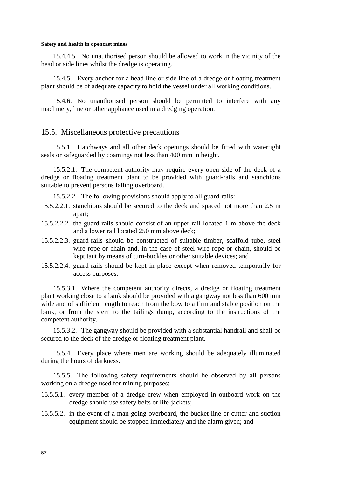15.4.4.5. No unauthorised person should be allowed to work in the vicinity of the head or side lines whilst the dredge is operating.

15.4.5. Every anchor for a head line or side line of a dredge or floating treatment plant should be of adequate capacity to hold the vessel under all working conditions.

15.4.6. No unauthorised person should be permitted to interfere with any machinery, line or other appliance used in a dredging operation.

## 15.5. Miscellaneous protective precautions

15.5.1. Hatchways and all other deck openings should be fitted with watertight seals or safeguarded by coamings not less than 400 mm in height.

15.5.2.1. The competent authority may require every open side of the deck of a dredge or floating treatment plant to be provided with guard-rails and stanchions suitable to prevent persons falling overboard.

15.5.2.2. The following provisions should apply to all guard-rails:

- 15.5.2.2.1. stanchions should be secured to the deck and spaced not more than 2.5 m apart;
- 15.5.2.2.2. the guard-rails should consist of an upper rail located 1 m above the deck and a lower rail located 250 mm above deck;
- 15.5.2.2.3. guard-rails should be constructed of suitable timber, scaffold tube, steel wire rope or chain and, in the case of steel wire rope or chain, should be kept taut by means of turn-buckles or other suitable devices; and
- 15.5.2.2.4. guard-rails should be kept in place except when removed temporarily for access purposes.

15.5.3.1. Where the competent authority directs, a dredge or floating treatment plant working close to a bank should be provided with a gangway not less than 600 mm wide and of sufficient length to reach from the bow to a firm and stable position on the bank, or from the stern to the tailings dump, according to the instructions of the competent authority.

15.5.3.2. The gangway should be provided with a substantial handrail and shall be secured to the deck of the dredge or floating treatment plant.

15.5.4. Every place where men are working should be adequately illuminated during the hours of darkness.

15.5.5. The following safety requirements should be observed by all persons working on a dredge used for mining purposes:

- 15.5.5.1. every member of a dredge crew when employed in outboard work on the dredge should use safety belts or life-jackets;
- 15.5.5.2. in the event of a man going overboard, the bucket line or cutter and suction equipment should be stopped immediately and the alarm given; and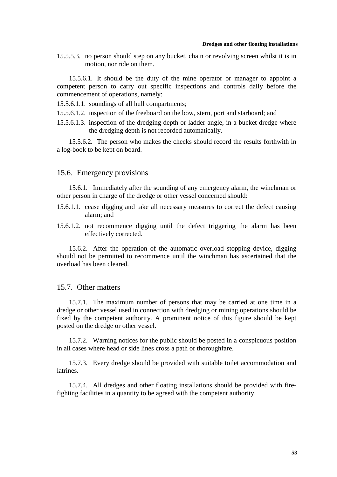### **Dredges and other floating installations**

15.5.5.3. no person should step on any bucket, chain or revolving screen whilst it is in motion, nor ride on them.

15.5.6.1. It should be the duty of the mine operator or manager to appoint a competent person to carry out specific inspections and controls daily before the commencement of operations, namely:

15.5.6.1.1. soundings of all hull compartments;

15.5.6.1.2. inspection of the freeboard on the bow, stern, port and starboard; and

15.5.6.1.3. inspection of the dredging depth or ladder angle, in a bucket dredge where the dredging depth is not recorded automatically.

15.5.6.2. The person who makes the checks should record the results forthwith in a log-book to be kept on board.

# 15.6. Emergency provisions

15.6.1. Immediately after the sounding of any emergency alarm, the winchman or other person in charge of the dredge or other vessel concerned should:

- 15.6.1.1. cease digging and take all necessary measures to correct the defect causing alarm; and
- 15.6.1.2. not recommence digging until the defect triggering the alarm has been effectively corrected.

15.6.2. After the operation of the automatic overload stopping device, digging should not be permitted to recommence until the winchman has ascertained that the overload has been cleared.

## 15.7. Other matters

15.7.1. The maximum number of persons that may be carried at one time in a dredge or other vessel used in connection with dredging or mining operations should be fixed by the competent authority. A prominent notice of this figure should be kept posted on the dredge or other vessel.

15.7.2. Warning notices for the public should be posted in a conspicuous position in all cases where head or side lines cross a path or thoroughfare.

15.7.3. Every dredge should be provided with suitable toilet accommodation and latrines.

15.7.4. All dredges and other floating installations should be provided with firefighting facilities in a quantity to be agreed with the competent authority.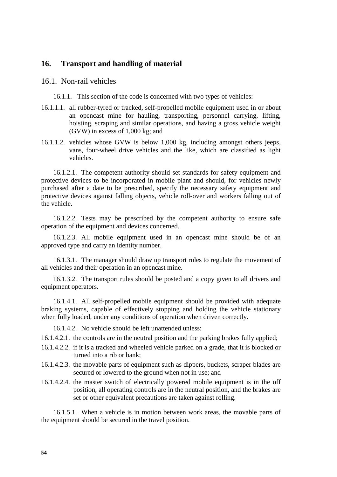# **16. Transport and handling of material**

### 16.1. Non-rail vehicles

16.1.1. This section of the code is concerned with two types of vehicles:

- 16.1.1.1. all rubber-tyred or tracked, self-propelled mobile equipment used in or about an opencast mine for hauling, transporting, personnel carrying, lifting, hoisting, scraping and similar operations, and having a gross vehicle weight (GVW) in excess of 1,000 kg; and
- 16.1.1.2. vehicles whose GVW is below 1,000 kg, including amongst others jeeps, vans, four-wheel drive vehicles and the like, which are classified as light vehicles.

16.1.2.1. The competent authority should set standards for safety equipment and protective devices to be incorporated in mobile plant and should, for vehicles newly purchased after a date to be prescribed, specify the necessary safety equipment and protective devices against falling objects, vehicle roll-over and workers falling out of the vehicle.

16.1.2.2. Tests may be prescribed by the competent authority to ensure safe operation of the equipment and devices concerned.

16.1.2.3. All mobile equipment used in an opencast mine should be of an approved type and carry an identity number.

16.1.3.1. The manager should draw up transport rules to regulate the movement of all vehicles and their operation in an opencast mine.

16.1.3.2. The transport rules should be posted and a copy given to all drivers and equipment operators.

16.1.4.1. All self-propelled mobile equipment should be provided with adequate braking systems, capable of effectively stopping and holding the vehicle stationary when fully loaded, under any conditions of operation when driven correctly.

16.1.4.2. No vehicle should be left unattended unless:

16.1.4.2.1. the controls are in the neutral position and the parking brakes fully applied;

- 16.1.4.2.2. if it is a tracked and wheeled vehicle parked on a grade, that it is blocked or turned into a rib or bank;
- 16.1.4.2.3. the movable parts of equipment such as dippers, buckets, scraper blades are secured or lowered to the ground when not in use; and
- 16.1.4.2.4. the master switch of electrically powered mobile equipment is in the off position, all operating controls are in the neutral position, and the brakes are set or other equivalent precautions are taken against rolling.

16.1.5.1. When a vehicle is in motion between work areas, the movable parts of the equipment should be secured in the travel position.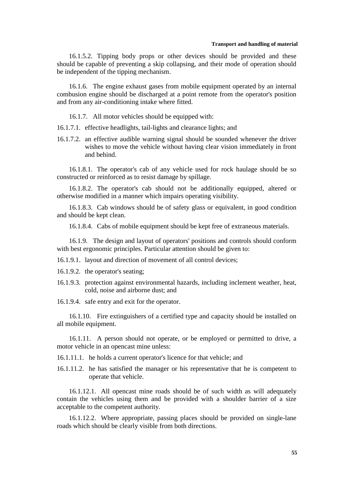### **Transport and handling of material**

16.1.5.2. Tipping body props or other devices should be provided and these should be capable of preventing a skip collapsing, and their mode of operation should be independent of the tipping mechanism.

16.1.6. The engine exhaust gases from mobile equipment operated by an internal combusion engine should be discharged at a point remote from the operator's position and from any air-conditioning intake where fitted.

16.1.7. All motor vehicles should be equipped with:

16.1.7.1. effective headlights, tail-lights and clearance lights; and

16.1.7.2. an effective audible warning signal should be sounded whenever the driver wishes to move the vehicle without having clear vision immediately in front and behind.

16.1.8.1. The operator's cab of any vehicle used for rock haulage should be so constructed or reinforced as to resist damage by spillage.

16.1.8.2. The operator's cab should not be additionally equipped, altered or otherwise modified in a manner which impairs operating visibility.

16.1.8.3. Cab windows should be of safety glass or equivalent, in good condition and should be kept clean.

16.1.8.4. Cabs of mobile equipment should be kept free of extraneous materials.

16.1.9. The design and layout of operators' positions and controls should conform with best ergonomic principles. Particular attention should be given to:

16.1.9.1. layout and direction of movement of all control devices;

- 16.1.9.2. the operator's seating;
- 16.1.9.3. protection against environmental hazards, including inclement weather, heat, cold, noise and airborne dust; and

16.1.9.4. safe entry and exit for the operator.

16.1.10. Fire extinguishers of a certified type and capacity should be installed on all mobile equipment.

16.1.11. A person should not operate, or be employed or permitted to drive, a motor vehicle in an opencast mine unless:

- 16.1.11.1. he holds a current operator's licence for that vehicle; and
- 16.1.11.2. he has satisfied the manager or his representative that he is competent to operate that vehicle.

16.1.12.1. All opencast mine roads should be of such width as will adequately contain the vehicles using them and be provided with a shoulder barrier of a size acceptable to the competent authority.

16.1.12.2. Where appropriate, passing places should be provided on single-lane roads which should be clearly visible from both directions.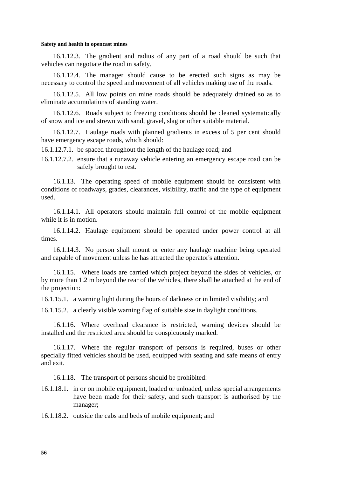16.1.12.3. The gradient and radius of any part of a road should be such that vehicles can negotiate the road in safety.

16.1.12.4. The manager should cause to be erected such signs as may be necessary to control the speed and movement of all vehicles making use of the roads.

16.1.12.5. All low points on mine roads should be adequately drained so as to eliminate accumulations of standing water.

16.1.12.6. Roads subject to freezing conditions should be cleaned systematically of snow and ice and strewn with sand, gravel, slag or other suitable material.

16.1.12.7. Haulage roads with planned gradients in excess of 5 per cent should have emergency escape roads, which should:

16.1.12.7.1. be spaced throughout the length of the haulage road; and

16.1.12.7.2. ensure that a runaway vehicle entering an emergency escape road can be safely brought to rest.

16.1.13. The operating speed of mobile equipment should be consistent with conditions of roadways, grades, clearances, visibility, traffic and the type of equipment used.

16.1.14.1. All operators should maintain full control of the mobile equipment while it is in motion.

16.1.14.2. Haulage equipment should be operated under power control at all times.

16.1.14.3. No person shall mount or enter any haulage machine being operated and capable of movement unless he has attracted the operator's attention.

16.1.15. Where loads are carried which project beyond the sides of vehicles, or by more than 1.2 m beyond the rear of the vehicles, there shall be attached at the end of the projection:

16.1.15.1. a warning light during the hours of darkness or in limited visibility; and

16.1.15.2. a clearly visible warning flag of suitable size in daylight conditions.

16.1.16. Where overhead clearance is restricted, warning devices should be installed and the restricted area should be conspicuously marked.

16.1.17. Where the regular transport of persons is required, buses or other specially fitted vehicles should be used, equipped with seating and safe means of entry and exit.

16.1.18. The transport of persons should be prohibited:

16.1.18.1. in or on mobile equipment, loaded or unloaded, unless special arrangements have been made for their safety, and such transport is authorised by the manager;

16.1.18.2. outside the cabs and beds of mobile equipment; and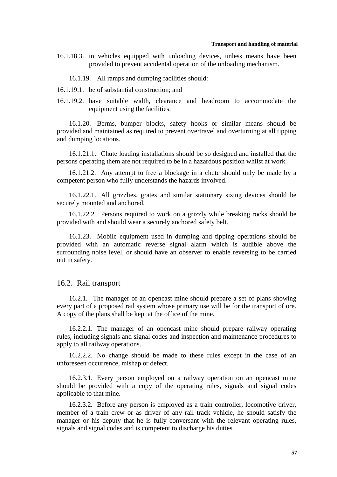### **Transport and handling of material**

- 16.1.18.3. in vehicles equipped with unloading devices, unless means have been provided to prevent accidental operation of the unloading mechanism.
	- 16.1.19. All ramps and dumping facilities should:
- 16.1.19.1. be of substantial construction; and
- 16.1.19.2. have suitable width, clearance and headroom to accommodate the equipment using the facilities.

16.1.20. Berms, bumper blocks, safety hooks or similar means should be provided and maintained as required to prevent overtravel and overturning at all tipping and dumping locations.

16.1.21.1. Chute loading installations should be so designed and installed that the persons operating them are not required to be in a hazardous position whilst at work.

16.1.21.2. Any attempt to free a blockage in a chute should only be made by a competent person who fully understands the hazards involved.

16.1.22.1. All grizzlies, grates and similar stationary sizing devices should be securely mounted and anchored.

16.1.22.2. Persons required to work on a grizzly while breaking rocks should be provided with and should wear a securely anchored safety belt.

16.1.23. Mobile equipment used in dumping and tipping operations should be provided with an automatic reverse signal alarm which is audible above the surrounding noise level, or should have an observer to enable reversing to be carried out in safety.

### 16.2. Rail transport

16.2.1. The manager of an opencast mine should prepare a set of plans showing every part of a proposed rail system whose primary use will be for the transport of ore. A copy of the plans shall be kept at the office of the mine.

16.2.2.1. The manager of an opencast mine should prepare railway operating rules, including signals and signal codes and inspection and maintenance procedures to apply to all railway operations.

16.2.2.2. No change should be made to these rules except in the case of an unforeseen occurrence, mishap or defect.

16.2.3.1. Every person employed on a railway operation on an opencast mine should be provided with a copy of the operating rules, signals and signal codes applicable to that mine.

16.2.3.2. Before any person is employed as a train controller, locomotive driver, member of a train crew or as driver of any rail track vehicle, he should satisfy the manager or his deputy that he is fully conversant with the relevant operating rules, signals and signal codes and is competent to discharge his duties.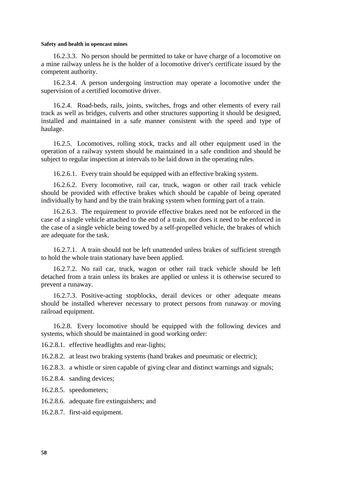16.2.3.3. No person should be permitted to take or have charge of a locomotive on a mine railway unless he is the holder of a locomotive driver's certificate issued by the competent authority.

16.2.3.4. A person undergoing instruction may operate a locomotive under the supervision of a certified locomotive driver.

16.2.4. Road-beds, rails, joints, switches, frogs and other elements of every rail track as well as bridges, culverts and other structures supporting it should be designed, installed and maintained in a safe manner consistent with the speed and type of haulage.

16.2.5. Locomotives, rolling stock, tracks and all other equipment used in the operation of a railway system should be maintained in a safe condition and should be subject to regular inspection at intervals to be laid down in the operating rules.

16.2.6.1. Every train should be equipped with an effective braking system.

16.2.6.2. Every locomotive, rail car, truck, wagon or other rail track vehicle should be provided with effective brakes which should be capable of being operated individually by hand and by the train braking system when forming part of a train.

16.2.6.3. The requirement to provide effective brakes need not be enforced in the case of a single vehicle attached to the end of a train, nor does it need to be enforced in the case of a single vehicle being towed by a self-propelled vehicle, the brakes of which are adequate for the task.

16.2.7.1. A train should not be left unattended unless brakes of sufficient strength to hold the whole train stationary have been applied.

16.2.7.2. No rail car, truck, wagon or other rail track vehicle should be left detached from a train unless its brakes are applied or unless it is otherwise secured to prevent a runaway.

16.2.7.3. Positive-acting stopblocks, derail devices or other adequate means should be installed wherever necessary to protect persons from runaway or moving railroad equipment.

16.2.8. Every locomotive should be equipped with the following devices and systems, which should be maintained in good working order:

16.2.8.1. effective headlights and rear-lights;

16.2.8.2. at least two braking systems (hand brakes and pneumatic or electric);

16.2.8.3. a whistle or siren capable of giving clear and distinct warnings and signals;

16.2.8.4. sanding devices;

16.2.8.5. speedometers;

16.2.8.6. adequate fire extinguishers; and

16.2.8.7. first-aid equipment.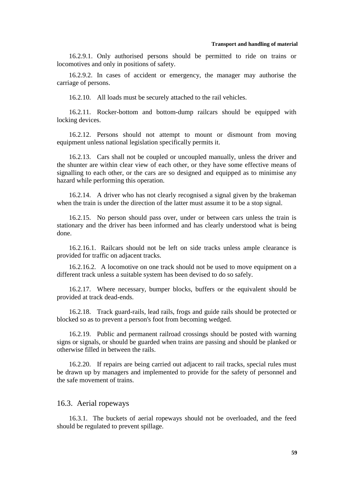16.2.9.1. Only authorised persons should be permitted to ride on trains or locomotives and only in positions of safety.

16.2.9.2. In cases of accident or emergency, the manager may authorise the carriage of persons.

16.2.10. All loads must be securely attached to the rail vehicles.

16.2.11. Rocker-bottom and bottom-dump railcars should be equipped with locking devices.

16.2.12. Persons should not attempt to mount or dismount from moving equipment unless national legislation specifically permits it.

16.2.13. Cars shall not be coupled or uncoupled manually, unless the driver and the shunter are within clear view of each other, or they have some effective means of signalling to each other, or the cars are so designed and equipped as to minimise any hazard while performing this operation.

16.2.14. A driver who has not clearly recognised a signal given by the brakeman when the train is under the direction of the latter must assume it to be a stop signal.

16.2.15. No person should pass over, under or between cars unless the train is stationary and the driver has been informed and has clearly understood what is being done.

16.2.16.1. Railcars should not be left on side tracks unless ample clearance is provided for traffic on adjacent tracks.

16.2.16.2. A locomotive on one track should not be used to move equipment on a different track unless a suitable system has been devised to do so safely.

16.2.17. Where necessary, bumper blocks, buffers or the equivalent should be provided at track dead-ends.

16.2.18. Track guard-rails, lead rails, frogs and guide rails should be protected or blocked so as to prevent a person's foot from becoming wedged.

16.2.19. Public and permanent railroad crossings should be posted with warning signs or signals, or should be guarded when trains are passing and should be planked or otherwise filled in between the rails.

16.2.20. If repairs are being carried out adjacent to rail tracks, special rules must be drawn up by managers and implemented to provide for the safety of personnel and the safe movement of trains.

### 16.3. Aerial ropeways

16.3.1. The buckets of aerial ropeways should not be overloaded, and the feed should be regulated to prevent spillage.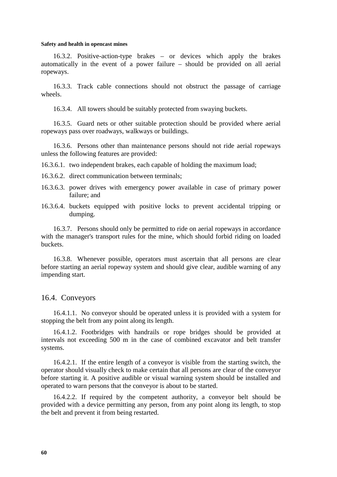16.3.2. Positive-action-type brakes – or devices which apply the brakes automatically in the event of a power failure – should be provided on all aerial ropeways.

16.3.3. Track cable connections should not obstruct the passage of carriage wheels.

16.3.4. All towers should be suitably protected from swaying buckets.

16.3.5. Guard nets or other suitable protection should be provided where aerial ropeways pass over roadways, walkways or buildings.

16.3.6. Persons other than maintenance persons should not ride aerial ropeways unless the following features are provided:

16.3.6.1. two independent brakes, each capable of holding the maximum load;

- 16.3.6.2. direct communication between terminals;
- 16.3.6.3. power drives with emergency power available in case of primary power failure; and
- 16.3.6.4. buckets equipped with positive locks to prevent accidental tripping or dumping.

16.3.7. Persons should only be permitted to ride on aerial ropeways in accordance with the manager's transport rules for the mine, which should forbid riding on loaded buckets.

16.3.8. Whenever possible, operators must ascertain that all persons are clear before starting an aerial ropeway system and should give clear, audible warning of any impending start.

## 16.4. Conveyors

16.4.1.1. No conveyor should be operated unless it is provided with a system for stopping the belt from any point along its length.

16.4.1.2. Footbridges with handrails or rope bridges should be provided at intervals not exceeding 500 m in the case of combined excavator and belt transfer systems.

16.4.2.1. If the entire length of a conveyor is visible from the starting switch, the operator should visually check to make certain that all persons are clear of the conveyor before starting it. A positive audible or visual warning system should be installed and operated to warn persons that the conveyor is about to be started.

16.4.2.2. If required by the competent authority, a conveyor belt should be provided with a device permitting any person, from any point along its length, to stop the belt and prevent it from being restarted.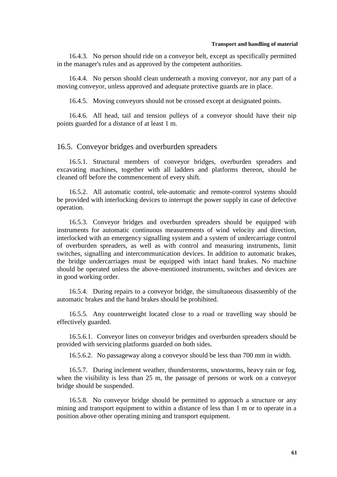#### **Transport and handling of material**

16.4.3. No person should ride on a conveyor belt, except as specifically permitted in the manager's rules and as approved by the competent authorities.

16.4.4. No person should clean underneath a moving conveyor, nor any part of a moving conveyor, unless approved and adequate protective guards are in place.

16.4.5. Moving conveyors should not be crossed except at designated points.

16.4.6. All head, tail and tension pulleys of a conveyor should have their nip points guarded for a distance of at least 1 m.

### 16.5. Conveyor bridges and overburden spreaders

16.5.1. Structural members of conveyor bridges, overburden spreaders and excavating machines, together with all ladders and platforms thereon, should be cleaned off before the commencement of every shift.

16.5.2. All automatic control, tele-automatic and remote-control systems should be provided with interlocking devices to interrupt the power supply in case of defective operation.

16.5.3. Conveyor bridges and overburden spreaders should be equipped with instruments for automatic continuous measurements of wind velocity and direction, interlocked with an emergency signalling system and a system of undercarriage control of overburden spreaders, as well as with control and measuring instruments, limit switches, signalling and intercommunication devices. In addition to automatic brakes, the bridge undercarriages must be equipped with intact hand brakes. No machine should be operated unless the above-mentioned instruments, switches and devices are in good working order.

16.5.4. During repairs to a conveyor bridge, the simultaneous disassembly of the automatic brakes and the hand brakes should be prohibited.

16.5.5. Any counterweight located close to a road or travelling way should be effectively guarded.

16.5.6.1. Conveyor lines on conveyor bridges and overburden spreaders should be provided with servicing platforms guarded on both sides.

16.5.6.2. No passageway along a conveyor should be less than 700 mm in width.

16.5.7. During inclement weather, thunderstorms, snowstorms, heavy rain or fog, when the visibility is less than 25 m, the passage of persons or work on a conveyor bridge should be suspended.

16.5.8. No conveyor bridge should be permitted to approach a structure or any mining and transport equipment to within a distance of less than 1 m or to operate in a position above other operating mining and transport equipment.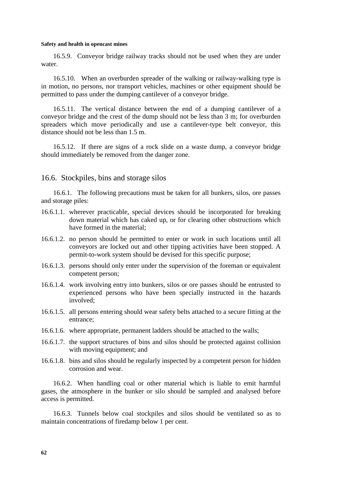16.5.9. Conveyor bridge railway tracks should not be used when they are under water.

16.5.10. When an overburden spreader of the walking or railway-walking type is in motion, no persons, nor transport vehicles, machines or other equipment should be permitted to pass under the dumping cantilever of a conveyor bridge.

16.5.11. The vertical distance between the end of a dumping cantilever of a conveyor bridge and the crest of the dump should not be less than 3 m; for overburden spreaders which move periodically and use a cantilever-type belt conveyor, this distance should not be less than 1.5 m.

16.5.12. If there are signs of a rock slide on a waste dump, a conveyor bridge should immediately be removed from the danger zone.

### 16.6. Stockpiles, bins and storage silos

16.6.1. The following precautions must be taken for all bunkers, silos, ore passes and storage piles:

- 16.6.1.1. wherever practicable, special devices should be incorporated for breaking down material which has caked up, or for clearing other obstructions which have formed in the material:
- 16.6.1.2. no person should be permitted to enter or work in such locations until all conveyors are locked out and other tipping activities have been stopped. A permit-to-work system should be devised for this specific purpose;
- 16.6.1.3. persons should only enter under the supervision of the foreman or equivalent competent person;
- 16.6.1.4. work involving entry into bunkers, silos or ore passes should be entrusted to experienced persons who have been specially instructed in the hazards involved;
- 16.6.1.5. all persons entering should wear safety belts attached to a secure fitting at the entrance;
- 16.6.1.6. where appropriate, permanent ladders should be attached to the walls;
- 16.6.1.7. the support structures of bins and silos should be protected against collision with moving equipment; and
- 16.6.1.8. bins and silos should be regularly inspected by a competent person for hidden corrosion and wear.

16.6.2. When handling coal or other material which is liable to emit harmful gases, the atmosphere in the bunker or silo should be sampled and analysed before access is permitted.

16.6.3. Tunnels below coal stockpiles and silos should be ventilated so as to maintain concentrations of firedamp below 1 per cent.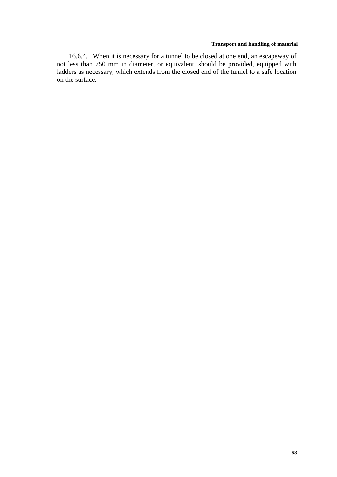### **Transport and handling of material**

16.6.4. When it is necessary for a tunnel to be closed at one end, an escapeway of not less than 750 mm in diameter, or equivalent, should be provided, equipped with ladders as necessary, which extends from the closed end of the tunnel to a safe location on the surface.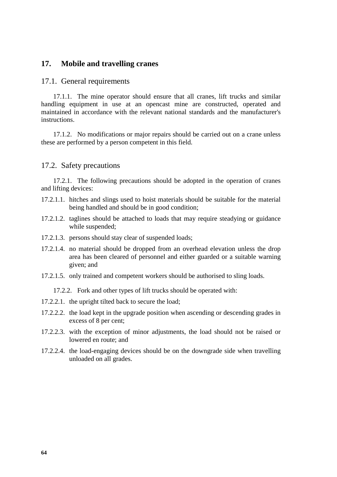# **17. Mobile and travelling cranes**

### 17.1. General requirements

17.1.1. The mine operator should ensure that all cranes, lift trucks and similar handling equipment in use at an opencast mine are constructed, operated and maintained in accordance with the relevant national standards and the manufacturer's instructions.

17.1.2. No modifications or major repairs should be carried out on a crane unless these are performed by a person competent in this field.

### 17.2. Safety precautions

17.2.1. The following precautions should be adopted in the operation of cranes and lifting devices:

- 17.2.1.1. hitches and slings used to hoist materials should be suitable for the material being handled and should be in good condition;
- 17.2.1.2. taglines should be attached to loads that may require steadying or guidance while suspended;
- 17.2.1.3. persons should stay clear of suspended loads;
- 17.2.1.4. no material should be dropped from an overhead elevation unless the drop area has been cleared of personnel and either guarded or a suitable warning given; and
- 17.2.1.5. only trained and competent workers should be authorised to sling loads.
	- 17.2.2. Fork and other types of lift trucks should be operated with:
- 17.2.2.1. the upright tilted back to secure the load;
- 17.2.2.2. the load kept in the upgrade position when ascending or descending grades in excess of 8 per cent;
- 17.2.2.3. with the exception of minor adjustments, the load should not be raised or lowered en route; and
- 17.2.2.4. the load-engaging devices should be on the downgrade side when travelling unloaded on all grades.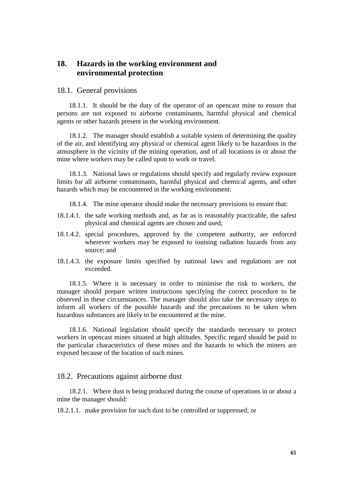# **18. Hazards in the working environment and environmental protection**

### 18.1. General provisions

18.1.1. It should be the duty of the operator of an opencast mine to ensure that persons are not exposed to airborne contaminants, harmful physical and chemical agents or other hazards present in the working environment.

18.1.2. The manager should establish a suitable system of determining the quality of the air, and identifying any physical or chemical agent likely to be hazardous in the atmosphere in the vicinity of the mining operation, and of all locations in or about the mine where workers may be called upon to work or travel.

18.1.3. National laws or regulations should specify and regularly review exposure limits for all airborne contaminants, harmful physical and chemical agents, and other hazards which may be encountered in the working environment.

18.1.4. The mine operator should make the necessary provisions to ensure that:

- 18.1.4.1. the safe working methods and, as far as is reasonably practicable, the safest physical and chemical agents are chosen and used;
- 18.1.4.2. special procedures, approved by the competent authority, are enforced wherever workers may be exposed to ionising radiation hazards from any source; and
- 18.1.4.3. the exposure limits specified by national laws and regulations are not exceeded.

18.1.5. Where it is necessary in order to minimise the risk to workers, the manager should prepare written instructions specifying the correct procedure to be observed in these circumstances. The manager should also take the necessary steps to inform all workers of the possible hazards and the precautions to be taken when hazardous substances are likely to be encountered at the mine.

18.1.6. National legislation should specify the standards necessary to protect workers in opencast mines situated at high altitudes. Specific regard should be paid to the particular characteristics of these mines and the hazards to which the miners are exposed because of the location of such mines.

### 18.2. Precautions against airborne dust

18.2.1. Where dust is being produced during the course of operations in or about a mine the manager should:

18.2.1.1. make provision for such dust to be controlled or suppressed; or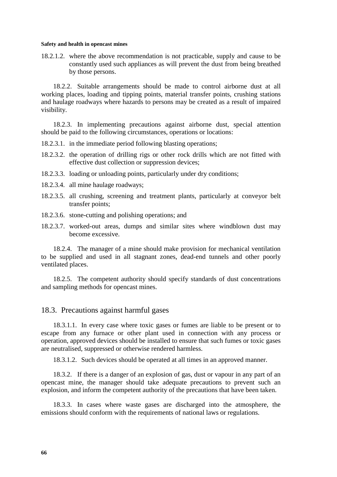18.2.1.2. where the above recommendation is not practicable, supply and cause to be constantly used such appliances as will prevent the dust from being breathed by those persons.

18.2.2. Suitable arrangements should be made to control airborne dust at all working places, loading and tipping points, material transfer points, crushing stations and haulage roadways where hazards to persons may be created as a result of impaired visibility.

18.2.3. In implementing precautions against airborne dust, special attention should be paid to the following circumstances, operations or locations:

- 18.2.3.1. in the immediate period following blasting operations;
- 18.2.3.2. the operation of drilling rigs or other rock drills which are not fitted with effective dust collection or suppression devices;
- 18.2.3.3. loading or unloading points, particularly under dry conditions;
- 18.2.3.4. all mine haulage roadways;
- 18.2.3.5. all crushing, screening and treatment plants, particularly at conveyor belt transfer points;
- 18.2.3.6. stone-cutting and polishing operations; and
- 18.2.3.7. worked-out areas, dumps and similar sites where windblown dust may become excessive.

18.2.4. The manager of a mine should make provision for mechanical ventilation to be supplied and used in all stagnant zones, dead-end tunnels and other poorly ventilated places.

18.2.5. The competent authority should specify standards of dust concentrations and sampling methods for opencast mines.

### 18.3. Precautions against harmful gases

18.3.1.1. In every case where toxic gases or fumes are liable to be present or to escape from any furnace or other plant used in connection with any process or operation, approved devices should be installed to ensure that such fumes or toxic gases are neutralised, suppressed or otherwise rendered harmless.

18.3.1.2. Such devices should be operated at all times in an approved manner.

18.3.2. If there is a danger of an explosion of gas, dust or vapour in any part of an opencast mine, the manager should take adequate precautions to prevent such an explosion, and inform the competent authority of the precautions that have been taken.

18.3.3. In cases where waste gases are discharged into the atmosphere, the emissions should conform with the requirements of national laws or regulations.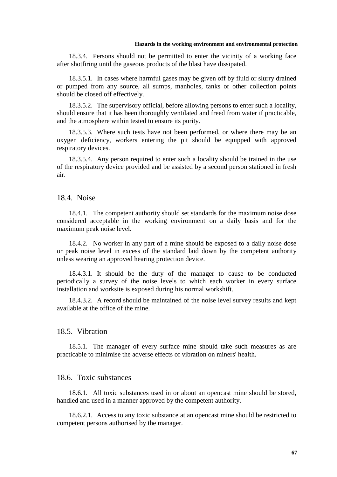#### **Hazards in the working environment and environmental protection**

18.3.4. Persons should not be permitted to enter the vicinity of a working face after shotfiring until the gaseous products of the blast have dissipated.

18.3.5.1. In cases where harmful gases may be given off by fluid or slurry drained or pumped from any source, all sumps, manholes, tanks or other collection points should be closed off effectively.

18.3.5.2. The supervisory official, before allowing persons to enter such a locality, should ensure that it has been thoroughly ventilated and freed from water if practicable, and the atmosphere within tested to ensure its purity.

18.3.5.3. Where such tests have not been performed, or where there may be an oxygen deficiency, workers entering the pit should be equipped with approved respiratory devices.

18.3.5.4. Any person required to enter such a locality should be trained in the use of the respiratory device provided and be assisted by a second person stationed in fresh air.

### 18.4. Noise

18.4.1. The competent authority should set standards for the maximum noise dose considered acceptable in the working environment on a daily basis and for the maximum peak noise level.

18.4.2. No worker in any part of a mine should be exposed to a daily noise dose or peak noise level in excess of the standard laid down by the competent authority unless wearing an approved hearing protection device.

18.4.3.1. It should be the duty of the manager to cause to be conducted periodically a survey of the noise levels to which each worker in every surface installation and worksite is exposed during his normal workshift.

18.4.3.2. A record should be maintained of the noise level survey results and kept available at the office of the mine.

### 18.5. Vibration

18.5.1. The manager of every surface mine should take such measures as are practicable to minimise the adverse effects of vibration on miners' health.

### 18.6. Toxic substances

18.6.1. All toxic substances used in or about an opencast mine should be stored, handled and used in a manner approved by the competent authority.

18.6.2.1. Access to any toxic substance at an opencast mine should be restricted to competent persons authorised by the manager.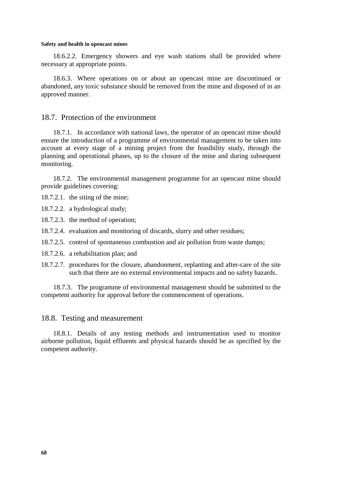18.6.2.2. Emergency showers and eye wash stations shall be provided where necessary at appropriate points.

18.6.3. Where operations on or about an opencast mine are discontinued or abandoned, any toxic substance should be removed from the mine and disposed of in an approved manner.

### 18.7. Protection of the environment

18.7.1. In accordance with national laws, the operator of an opencast mine should ensure the introduction of a programme of environmental management to be taken into account at every stage of a mining project from the feasibility study, through the planning and operational phases, up to the closure of the mine and during subsequent monitoring.

18.7.2. The environmental management programme for an opencast mine should provide guidelines covering:

18.7.2.1. the siting of the mine;

18.7.2.2. a hydrological study;

18.7.2.3. the method of operation;

18.7.2.4. evaluation and monitoring of discards, slurry and other residues;

18.7.2.5. control of spontaneous combustion and air pollution from waste dumps;

18.7.2.6. a rehabilitation plan; and

18.7.2.7. procedures for the closure, abandonment, replanting and after-care of the site such that there are no external environmental impacts and no safety hazards.

18.7.3. The programme of environmental management should be submitted to the competent authority for approval before the commencement of operations.

### 18.8. Testing and measurement

18.8.1. Details of any testing methods and instrumentation used to monitor airborne pollution, liquid effluents and physical hazards should be as specified by the competent authority.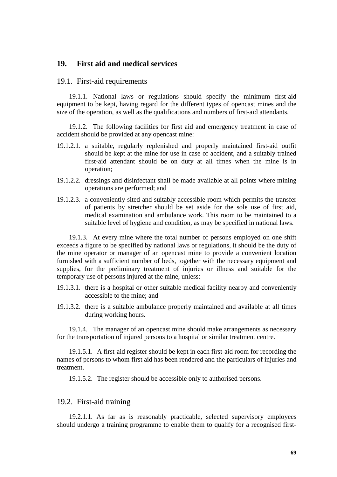# **19. First aid and medical services**

### 19.1. First-aid requirements

19.1.1. National laws or regulations should specify the minimum first-aid equipment to be kept, having regard for the different types of opencast mines and the size of the operation, as well as the qualifications and numbers of first-aid attendants.

19.1.2. The following facilities for first aid and emergency treatment in case of accident should be provided at any opencast mine:

- 19.1.2.1. a suitable, regularly replenished and properly maintained first-aid outfit should be kept at the mine for use in case of accident, and a suitably trained first-aid attendant should be on duty at all times when the mine is in operation;
- 19.1.2.2. dressings and disinfectant shall be made available at all points where mining operations are performed; and
- 19.1.2.3. a conveniently sited and suitably accessible room which permits the transfer of patients by stretcher should be set aside for the sole use of first aid, medical examination and ambulance work. This room to be maintained to a suitable level of hygiene and condition, as may be specified in national laws.

19.1.3. At every mine where the total number of persons employed on one shift exceeds a figure to be specified by national laws or regulations, it should be the duty of the mine operator or manager of an opencast mine to provide a convenient location furnished with a sufficient number of beds, together with the necessary equipment and supplies, for the preliminary treatment of injuries or illness and suitable for the temporary use of persons injured at the mine, unless:

- 19.1.3.1. there is a hospital or other suitable medical facility nearby and conveniently accessible to the mine; and
- 19.1.3.2. there is a suitable ambulance properly maintained and available at all times during working hours.

19.1.4. The manager of an opencast mine should make arrangements as necessary for the transportation of injured persons to a hospital or similar treatment centre.

19.1.5.1. A first-aid register should be kept in each first-aid room for recording the names of persons to whom first aid has been rendered and the particulars of injuries and treatment.

19.1.5.2. The register should be accessible only to authorised persons.

### 19.2. First-aid training

19.2.1.1. As far as is reasonably practicable, selected supervisory employees should undergo a training programme to enable them to qualify for a recognised first-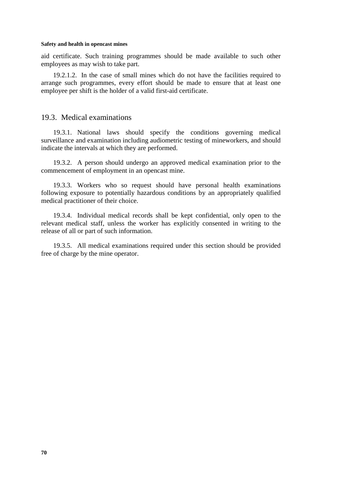aid certificate. Such training programmes should be made available to such other employees as may wish to take part.

19.2.1.2. In the case of small mines which do not have the facilities required to arrange such programmes, every effort should be made to ensure that at least one employee per shift is the holder of a valid first-aid certificate.

### 19.3. Medical examinations

19.3.1. National laws should specify the conditions governing medical surveillance and examination including audiometric testing of mineworkers, and should indicate the intervals at which they are performed.

19.3.2. A person should undergo an approved medical examination prior to the commencement of employment in an opencast mine.

19.3.3. Workers who so request should have personal health examinations following exposure to potentially hazardous conditions by an appropriately qualified medical practitioner of their choice.

19.3.4. Individual medical records shall be kept confidential, only open to the relevant medical staff, unless the worker has explicitly consented in writing to the release of all or part of such information.

19.3.5. All medical examinations required under this section should be provided free of charge by the mine operator.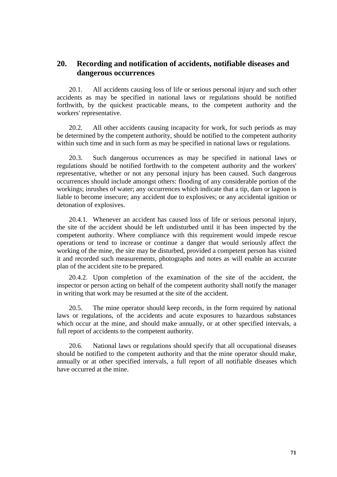# **20. Recording and notification of accidents, notifiable diseases and dangerous occurrences**

20.1. All accidents causing loss of life or serious personal injury and such other accidents as may be specified in national laws or regulations should be notified forthwith, by the quickest practicable means, to the competent authority and the workers' representative.

20.2. All other accidents causing incapacity for work, for such periods as may be determined by the competent authority, should be notified to the competent authority within such time and in such form as may be specified in national laws or regulations.

20.3. Such dangerous occurrences as may be specified in national laws or regulations should be notified forthwith to the competent authority and the workers' representative, whether or not any personal injury has been caused. Such dangerous occurrences should include amongst others: flooding of any considerable portion of the workings; inrushes of water; any occurrences which indicate that a tip, dam or lagoon is liable to become insecure; any accident due to explosives; or any accidental ignition or detonation of explosives.

20.4.1. Whenever an accident has caused loss of life or serious personal injury, the site of the accident should be left undisturbed until it has been inspected by the competent authority. Where compliance with this requirement would impede rescue operations or tend to increase or continue a danger that would seriously affect the working of the mine, the site may be disturbed, provided a competent person has visited it and recorded such measurements, photographs and notes as will enable an accurate plan of the accident site to be prepared.

20.4.2. Upon completion of the examination of the site of the accident, the inspector or person acting on behalf of the competent authority shall notify the manager in writing that work may be resumed at the site of the accident.

20.5. The mine operator should keep records, in the form required by national laws or regulations, of the accidents and acute exposures to hazardous substances which occur at the mine, and should make annually, or at other specified intervals, a full report of accidents to the competent authority.

20.6. National laws or regulations should specify that all occupational diseases should be notified to the competent authority and that the mine operator should make, annually or at other specified intervals, a full report of all notifiable diseases which have occurred at the mine.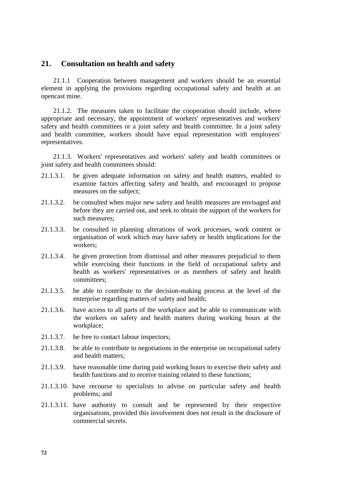### **21. Consultation on health and safety**

21.1.1 Cooperation between management and workers should be an essential element in applying the provisions regarding occupational safety and health at an opencast mine.

21.1.2. The measures taken to facilitate the cooperation should include, where appropriate and necessary, the appointment of workers' representatives and workers' safety and health committees or a joint safety and health committee. In a joint safety and health committee, workers should have equal representation with employers' representatives.

21.1.3. Workers' representatives and workers' safety and health committees or joint safety and health committees should:

- 21.1.3.1. be given adequate information on safety and health matters, enabled to examine factors affecting safety and health, and encouraged to propose measures on the subject;
- 21.1.3.2. be consulted when major new safety and health measures are envisaged and before they are carried out, and seek to obtain the support of the workers for such measures;
- 21.1.3.3. be consulted in planning alterations of work processes, work content or organisation of work which may have safety or health implications for the workers;
- 21.1.3.4. be given protection from dismissal and other measures prejudicial to them while exercising their functions in the field of occupational safety and health as workers' representatives or as members of safety and health committees;
- 21.1.3.5. be able to contribute to the decision-making process at the level of the enterprise regarding matters of safety and health;
- 21.1.3.6. have access to all parts of the workplace and be able to communicate with the workers on safety and health matters during working hours at the workplace;
- 21.1.3.7. be free to contact labour inspectors;
- 21.1.3.8. be able to contribute to negotiations in the enterprise on occupational safety and health matters;
- 21.1.3.9. have reasonable time during paid working hours to exercise their safety and health functions and to receive training related to these functions;
- 21.1.3.10. have recourse to specialists to advise on particular safety and health problems; and
- 21.1.3.11. have authority to consult and be represented by their respective organisations, provided this involvement does not result in the disclosure of commercial secrets.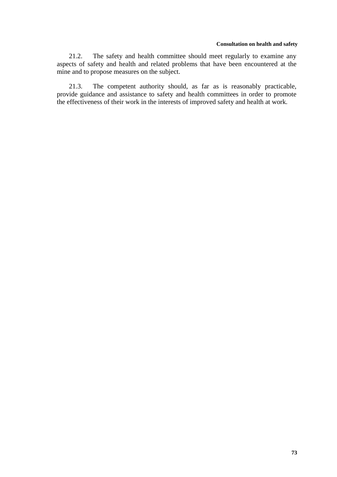#### **Consultation on health and safety**

21.2. The safety and health committee should meet regularly to examine any aspects of safety and health and related problems that have been encountered at the mine and to propose measures on the subject.

21.3. The competent authority should, as far as is reasonably practicable, provide guidance and assistance to safety and health committees in order to promote the effectiveness of their work in the interests of improved safety and health at work.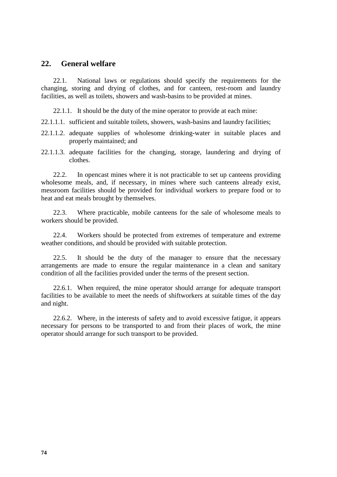### **22. General welfare**

22.1. National laws or regulations should specify the requirements for the changing, storing and drying of clothes, and for canteen, rest-room and laundry facilities, as well as toilets, showers and wash-basins to be provided at mines.

22.1.1. It should be the duty of the mine operator to provide at each mine:

22.1.1.1. sufficient and suitable toilets, showers, wash-basins and laundry facilities;

- 22.1.1.2. adequate supplies of wholesome drinking-water in suitable places and properly maintained; and
- 22.1.1.3. adequate facilities for the changing, storage, laundering and drying of clothes.

22.2. In opencast mines where it is not practicable to set up canteens providing wholesome meals, and, if necessary, in mines where such canteens already exist, messroom facilities should be provided for individual workers to prepare food or to heat and eat meals brought by themselves.

22.3. Where practicable, mobile canteens for the sale of wholesome meals to workers should be provided.

22.4. Workers should be protected from extremes of temperature and extreme weather conditions, and should be provided with suitable protection.

22.5. It should be the duty of the manager to ensure that the necessary arrangements are made to ensure the regular maintenance in a clean and sanitary condition of all the facilities provided under the terms of the present section.

22.6.1. When required, the mine operator should arrange for adequate transport facilities to be available to meet the needs of shiftworkers at suitable times of the day and night.

22.6.2. Where, in the interests of safety and to avoid excessive fatigue, it appears necessary for persons to be transported to and from their places of work, the mine operator should arrange for such transport to be provided.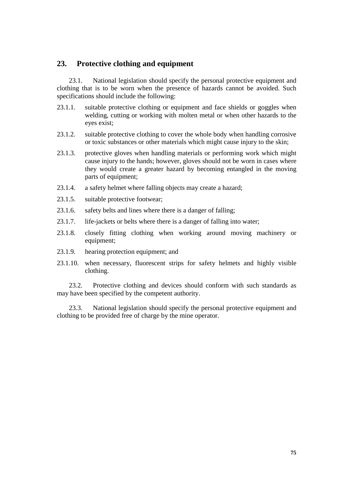# **23. Protective clothing and equipment**

23.1. National legislation should specify the personal protective equipment and clothing that is to be worn when the presence of hazards cannot be avoided. Such specifications should include the following:

- 23.1.1. suitable protective clothing or equipment and face shields or goggles when welding, cutting or working with molten metal or when other hazards to the eyes exist;
- 23.1.2. suitable protective clothing to cover the whole body when handling corrosive or toxic substances or other materials which might cause injury to the skin;
- 23.1.3. protective gloves when handling materials or performing work which might cause injury to the hands; however, gloves should not be worn in cases where they would create a greater hazard by becoming entangled in the moving parts of equipment;
- 23.1.4. a safety helmet where falling objects may create a hazard;
- 23.1.5. suitable protective footwear;
- 23.1.6. safety belts and lines where there is a danger of falling;
- 23.1.7. life-jackets or belts where there is a danger of falling into water;
- 23.1.8. closely fitting clothing when working around moving machinery or equipment;
- 23.1.9. hearing protection equipment; and
- 23.1.10. when necessary, fluorescent strips for safety helmets and highly visible clothing.

23.2. Protective clothing and devices should conform with such standards as may have been specified by the competent authority.

23.3. National legislation should specify the personal protective equipment and clothing to be provided free of charge by the mine operator.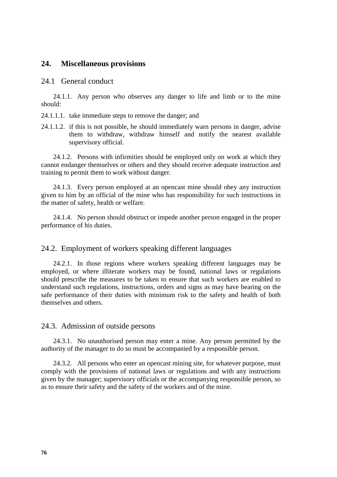### **24. Miscellaneous provisions**

### 24.1 General conduct

24.1.1. Any person who observes any danger to life and limb or to the mine should:

24.1.1.1. take immediate steps to remove the danger; and

24.1.1.2. if this is not possible, he should immediately warn persons in danger, advise them to withdraw, withdraw himself and notify the nearest available supervisory official.

24.1.2. Persons with infirmities should be employed only on work at which they cannot endanger themselves or others and they should receive adequate instruction and training to permit them to work without danger.

24.1.3. Every person employed at an opencast mine should obey any instruction given to him by an official of the mine who has responsibility for such instructions in the matter of safety, health or welfare.

24.1.4. No person should obstruct or impede another person engaged in the proper performance of his duties.

### 24.2. Employment of workers speaking different languages

24.2.1. In those regions where workers speaking different languages may be employed, or where illiterate workers may be found, national laws or regulations should prescribe the measures to be taken to ensure that such workers are enabled to understand such regulations, instructions, orders and signs as may have bearing on the safe performance of their duties with minimum risk to the safety and health of both themselves and others.

### 24.3. Admission of outside persons

24.3.1. No unauthorised person may enter a mine. Any person permitted by the authority of the manager to do so must be accompanied by a responsible person.

24.3.2. All persons who enter an opencast mining site, for whatever purpose, must comply with the provisions of national laws or regulations and with any instructions given by the manager; supervisory officials or the accompanying responsible person, so as to ensure their safety and the safety of the workers and of the mine.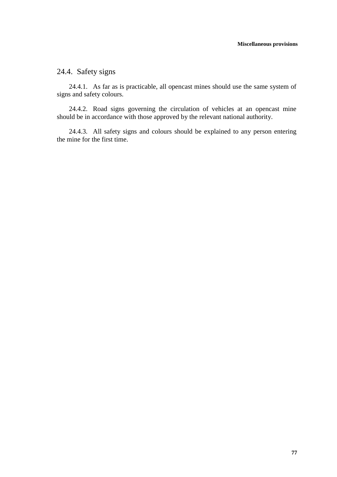# 24.4. Safety signs

24.4.1. As far as is practicable, all opencast mines should use the same system of signs and safety colours.

24.4.2. Road signs governing the circulation of vehicles at an opencast mine should be in accordance with those approved by the relevant national authority.

24.4.3. All safety signs and colours should be explained to any person entering the mine for the first time.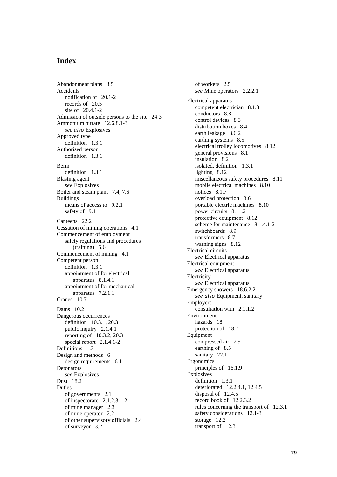# **Index**

Abandonment plans 3.5 Accidents notification of 20.1-2 records of 20.5 site of 20.4.1-2 Admission of outside persons to the site 24.3 Ammonium nitrate 12.6.8.1-3 *see also* Explosives Approved type definition 1.3.1 Authorised person definition 1.3.1 Berm definition 1.3.1 Blasting agent *see* Explosives Boiler and steam plant 7.4, 7.6 Buildings means of access to 9.2.1 safety of 9.1 Canteens 22.2 Cessation of mining operations 4.1 Commencement of employment safety regulations and procedures (training) 5.6 Commencement of mining 4.1 Competent person definition 1.3.1 appointment of for electrical apparatus 8.1.4.1 appointment of for mechanical apparatus 7.2.1.1 Cranes 10.7 Dams 10.2 Dangerous occurrences definition 10.3.1, 20.3 public inquiry 2.1.4.1 reporting of 10.3.2, 20.3 special report 2.1.4.1-2 Definitions 1.3 Design and methods 6 design requirements 6.1 Detonators *see* Explosives Dust 18.2 Duties of governments 2.1 of inspectorate 2.1.2.3.1-2 of mine manager 2.3 of mine operator 2.2 of other supervisory officials 2.4 of surveyor 3.2

of workers 2.5 *see* Mine operators 2.2.2.1 Electrical apparatus competent electrician 8.1.3 conductors 8.8 control devices 8.3 distribution boxes 8.4 earth leakage 8.6.2 earthing systems 8.5 electrical trolley locomotives 8.12 general provisions 8.1 insulation 8.2 isolated, definition 1.3.1 lighting 8.12 miscellaneous safety procedures 8.11 mobile electrical machines 8.10 notices 8.1.7 overload protection 8.6 portable electric machines 8.10 power circuits 8.11.2 protective equipment 8.12 scheme for maintenance 8.1.4.1-2 switchboards 8.9 transformers 8.7 warning signs 8.12 Electrical circuits *see* Electrical apparatus Electrical equipment *see* Electrical apparatus Electricity *see* Electrical apparatus Emergency showers 18.6.2.2 *see also* Equipment, sanitary Employers consultation with 2.1.1.2 Environment hazards 18 protection of 18.7 Equipment compressed air 7.5 earthing of 8.5 sanitary 22.1 Ergonomics principles of 16.1.9 Explosives definition 1.3.1 deteriorated 12.2.4.1, 12.4.5 disposal of 12.4.5 record book of 12.2.3.2 rules concerning the transport of 12.3.1 safety considerations 12.1-3 storage 12.2 transport of 12.3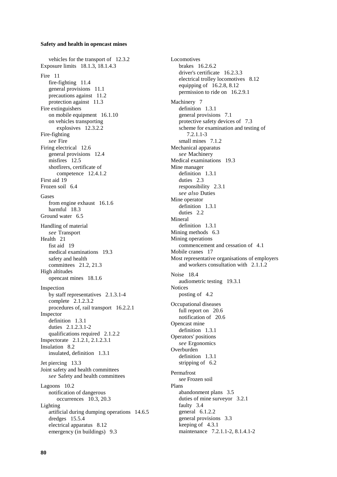vehicles for the transport of 12.3.2 Exposure limits 18.1.3, 18.1.4.3 Fire 11 fire-fighting 11.4 general provisions 11.1 precautions against 11.2 protection against 11.3 Fire extinguishers on mobile equipment 16.1.10 on vehicles transporting explosives 12.3.2.2 Fire-fighting *see* Fire Firing electrical 12.6 general provisions 12.4 misfires 12.5 shotfirers, certificate of competence 12.4.1.2 First aid 19 Frozen soil 6.4 Gases from engine exhaust 16.1.6 harmful 18.3 Ground water 6.5 Handling of material *see* Transport Health 21 fist aid 19 medical examinations 19.3 safety and health committees 21.2, 21.3 High altitudes opencast mines 18.1.6 Inspection by staff representatives 2.1.3.1-4 complete 2.1.2.3.2 procedures of, rail transport 16.2.2.1 Inspector definition 1.3.1 duties 2.1.2.3.1-2 qualifications required 2.1.2.2 Inspectorate 2.1.2.1, 2.1.2.3.1 Insulation 8.2 insulated, definition 1.3.1 Jet piercing 13.3 Joint safety and health committees *see* Safety and health committees Lagoons 10.2 notification of dangerous occurrences 10.3, 20.3 Lighting artificial during dumping operations 14.6.5 dredges 15.5.4 electrical apparatus 8.12 emergency (in buildings) 9.3

Locomotives brakes 16.2.6.2 driver's certificate 16.2.3.3 electrical trolley locomotives 8.12 equipping of 16.2.8, 8.12 permission to ride on 16.2.9.1 Machinery 7 definition 1.3.1 general provisions 7.1 protective safety devices of 7.3 scheme for examination and testing of 7.2.1.1-3 small mines 7.1.2 Mechanical apparatus *see* Machinery Medical examinations 19.3 Mine manager definition 1.3.1 duties 2.3 responsibility 2.3.1 *see also* Duties Mine operator definition 1.3.1 duties 2.2 Mineral definition 1.3.1 Mining methods 6.3 Mining operations commencement and cessation of 4.1 Mobile cranes 17 Most representative organisations of employers and workers consultation with 2.1.1.2 Noise 18.4 audiometric testing 19.3.1 **Notices** posting of 4.2 Occupational diseases full report on 20.6 notification of 20.6 Opencast mine definition 1.3.1 Operators' positions *see* Ergonomics Overburden definition 1.3.1 stripping of 6.2 Permafrost *see* Frozen soil Plans abandonment plans 3.5 duties of mine surveyor 3.2.1 faulty 3.4 general 6.1.2.2 general provisions 3.3 keeping of 4.3.1 maintenance 7.2.1.1-2, 8.1.4.1-2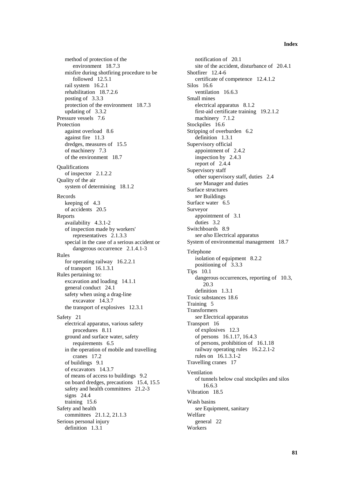#### **Index**

method of protection of the environment 18.7.3 misfire during shotfiring procedure to be followed 12.5.1 rail system 16.2.1 rehabilitation 18.7.2.6 posting of 3.3.3 protection of the environment 18.7.3 updating of 3.3.2 Pressure vessels 7.6 Protection against overload 8.6 against fire 11.3 dredges, measures of 15.5 of machinery 7.3 of the environment 18.7 **Qualifications** of inspector 2.1.2.2 Quality of the air system of determining 18.1.2 Records keeping of 4.3 of accidents 20.5 Reports availability 4.3.1-2 of inspection made by workers' representatives 2.1.3.3 special in the case of a serious accident or dangerous occurrence 2.1.4.1-3 Rules for operating railway 16.2.2.1 of transport 16.1.3.1 Rules pertaining to: excavation and loading 14.1.1 general conduct 24.1 safety when using a drag-line excavator 14.3.7 the transport of explosives 12.3.1 Safety 21 electrical apparatus, various safety procedures 8.11 ground and surface water, safety requirements 6.5 in the operation of mobile and travelling cranes 17.2 of buildings 9.1 of excavators 14.3.7 of means of access to buildings 9.2 on board dredges, precautions 15.4, 15.5 safety and health committees 21.2-3 signs 24.4 training 15.6 Safety and health committees 21.1.2, 21.1.3 Serious personal injury definition 1.3.1

notification of 20.1 site of the accident, disturbance of 20.4.1 Shotfirer 12.4-6 certificate of competence 12.4.1.2 Silos 16.6 ventilation 16.6.3 Small mines electrical apparatus 8.1.2 first-aid certificate training 19.2.1.2 machinery 7.1.2 Stockpiles 16.6 Stripping of overburden 6.2 definition 1.3.1 Supervisory official appointment of 2.4.2 inspection by 2.4.3 report of 2.4.4 Supervisory staff other supervisory staff, duties 2.4 *see* Manager and duties Surface structures *see* Buildings Surface water 6.5 Surveyor appointment of 3.1 duties 3.2 Switchboards 8.9 *see also* Electrical apparatus System of environmental management 18.7 Telephone isolation of equipment 8.2.2 positioning of 3.3.3 Tips 10.1 dangerous occurrences, reporting of 10.3, 20.3 definition 1.3.1 Toxic substances 18.6 Training 5 Transformers *see* Electrical apparatus Transport 16 of explosives 12.3 of persons 16.1.17, 16.4.3 of persons, prohibition of 16.1.18 railway operating rules 16.2.2.1-2 rules on 16.1.3.1-2 Travelling cranes 17 Ventilation of tunnels below coal stockpiles and silos 16.6.3 Vibration 18.5 Wash basins *see* Equipment, sanitary Welfare general 22 Workers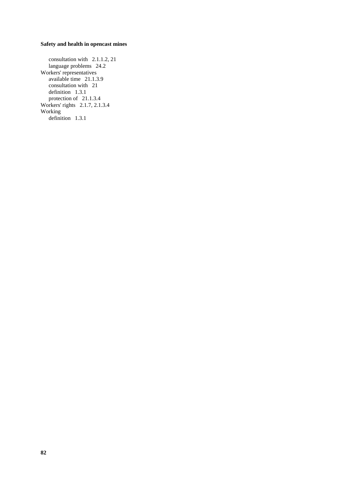consultation with 2.1.1.2, 21 language problems 24.2 Workers' representatives available time 21.1.3.9 consultation with 21 definition 1.3.1 protection of 21.1.3.4 Workers' rights 2.1.7, 2.1.3.4 Working definition 1.3.1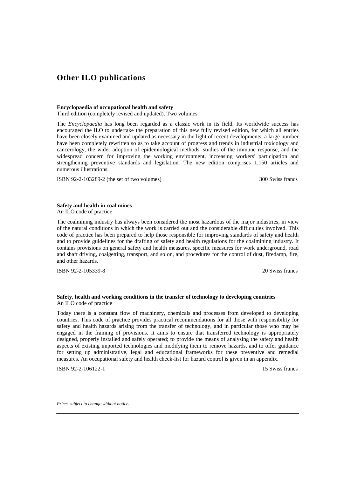# **Other ILO publications**

#### **Encyclopaedia of occupational health and safety**

Third edition (completely revised and updated). Two volumes

The *Encyclopaedia* has long been regarded as a classic work in its field. Its worldwide success has encouraged the ILO to undertake the preparation of this new fully revised edition, for which all entries have been closely examined and updated as necessary in the light of recent developments, a large number have been completely rewritten so as to take account of progress and trends in industrial toxicology and cancerology, the wider adoption of epidemiological methods, studies of the immune response, and the widespread concern for improving the working environment, increasing workers' participation and strengthening preventive standards and legislation. The new edition comprises 1,150 articles and numerous illustrations.

ISBN 92-2-103289-2 (the set of two volumes) 300 Swiss francs

**Safety and health in coal mines**

An ILO code of practice

The coalmining industry has always been considered the most hazardous of the major industries, in view of the natural conditions in which the work is carried out and the considerable difficulties involved. This code of practice has been prepared to help those responsible for improving standards of safety and health and to provide guidelines for the drafting of safety and health regulations for the coalmining industry. It contains provisions on general safety and health measures, specific measures for work underground, road and shaft driving, coalgetting, transport, and so on, and procedures for the control of dust, firedamp, fire, and other hazards.

ISBN 92-2-105339-8 20 Swiss francs

#### **Safety, health and working conditions in the transfer of technology to developing countries** An ILO code of practice

Today there is a constant flow of machinery, chemicals and processes from developed to developing countries. This code of practice provides practical recommendations for all those with responsibility for safety and health hazards arising from the transfer of technology, and in particular those who may be engaged in the framing of provisions. It aims to ensure that transferred technology is appropriately designed, properly installed and safely operated; to provide the means of analysing the safety and health aspects of existing imported technologies and modifying them to remove hazards, and to offer guidance for setting up administrative, legal and educational frameworks for these preventive and remedial measures. An occupational safety and health check-list for hazard control is given in an appendix.

**ISBN 92-2-106122-1** 15 Swiss francs

*Prices subject to change without notice.*